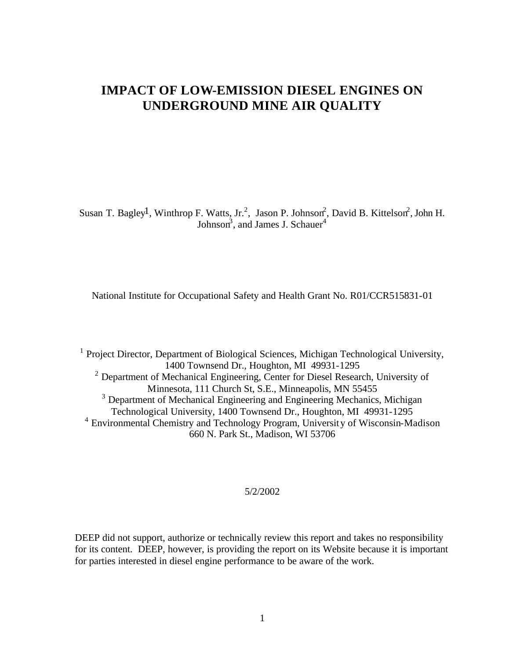# **IMPACT OF LOW-EMISSION DIESEL ENGINES ON UNDERGROUND MINE AIR QUALITY**

Susan T. Bagley<sup>1</sup>, Winthrop F. Watts, Jr.<sup>2</sup>, Jason P. Johnson<sup>2</sup>, David B. Kittelson<sup>2</sup>, John H. Johnson $^3$ , and James J. Schauer $^4$ 

National Institute for Occupational Safety and Health Grant No. R01/CCR515831-01

<sup>1</sup> Project Director, Department of Biological Sciences, Michigan Technological University, 1400 Townsend Dr., Houghton, MI 49931-1295 <sup>2</sup> Department of Mechanical Engineering, Center for Diesel Research, University of Minnesota, 111 Church St, S.E., Minneapolis, MN 55455 <sup>3</sup> Department of Mechanical Engineering and Engineering Mechanics, Michigan Technological University, 1400 Townsend Dr., Houghton, MI 49931-1295 4 Environmental Chemistry and Technology Program, University of Wisconsin-Madison 660 N. Park St., Madison, WI 53706

## 5/2/2002

DEEP did not support, authorize or technically review this report and takes no responsibility for its content. DEEP, however, is providing the report on its Website because it is important for parties interested in diesel engine performance to be aware of the work.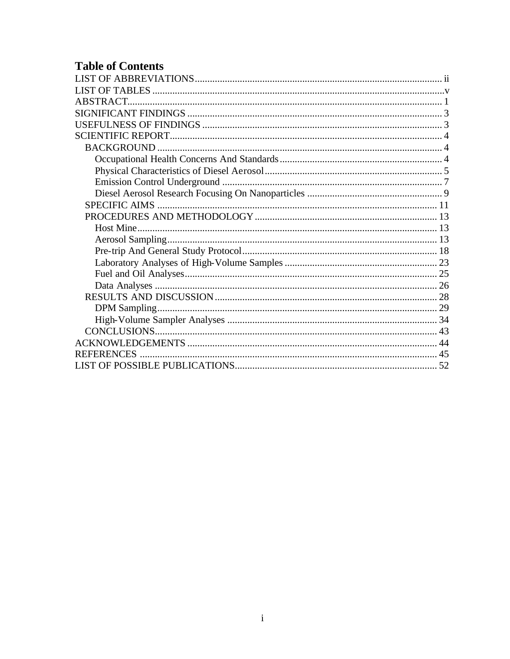# **Table of Contents**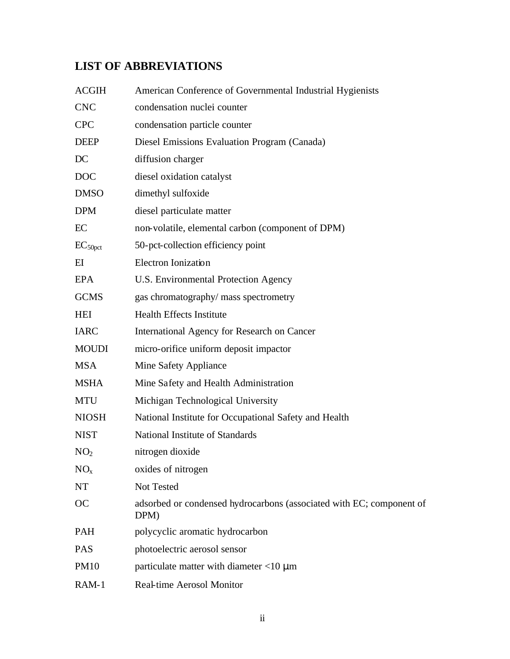# **LIST OF ABBREVIATIONS**

| <b>ACGIH</b>         | American Conference of Governmental Industrial Hygienists                    |
|----------------------|------------------------------------------------------------------------------|
| <b>CNC</b>           | condensation nuclei counter                                                  |
| <b>CPC</b>           | condensation particle counter                                                |
| <b>DEEP</b>          | Diesel Emissions Evaluation Program (Canada)                                 |
| DC                   | diffusion charger                                                            |
| <b>DOC</b>           | diesel oxidation catalyst                                                    |
| <b>DMSO</b>          | dimethyl sulfoxide                                                           |
| <b>DPM</b>           | diesel particulate matter                                                    |
| EC                   | non-volatile, elemental carbon (component of DPM)                            |
| EC <sub>50</sub> pct | 50-pct-collection efficiency point                                           |
| $E$ I                | <b>Electron Ionization</b>                                                   |
| EPA                  | U.S. Environmental Protection Agency                                         |
| <b>GCMS</b>          | gas chromatography/ mass spectrometry                                        |
| <b>HEI</b>           | <b>Health Effects Institute</b>                                              |
| <b>IARC</b>          | International Agency for Research on Cancer                                  |
| <b>MOUDI</b>         | micro-orifice uniform deposit impactor                                       |
| <b>MSA</b>           | Mine Safety Appliance                                                        |
| <b>MSHA</b>          | Mine Safety and Health Administration                                        |
| <b>MTU</b>           | Michigan Technological University                                            |
| <b>NIOSH</b>         | National Institute for Occupational Safety and Health                        |
| <b>NIST</b>          | National Institute of Standards                                              |
| NO <sub>2</sub>      | nitrogen dioxide                                                             |
| NO <sub>x</sub>      | oxides of nitrogen                                                           |
| <b>NT</b>            | Not Tested                                                                   |
| <b>OC</b>            | adsorbed or condensed hydrocarbons (associated with EC; component of<br>DPM) |
| <b>PAH</b>           | polycyclic aromatic hydrocarbon                                              |
| <b>PAS</b>           | photoelectric aerosol sensor                                                 |
| <b>PM10</b>          | particulate matter with diameter $<$ 10 $\mu$ m                              |
| RAM-1                | <b>Real-time Aerosol Monitor</b>                                             |
|                      |                                                                              |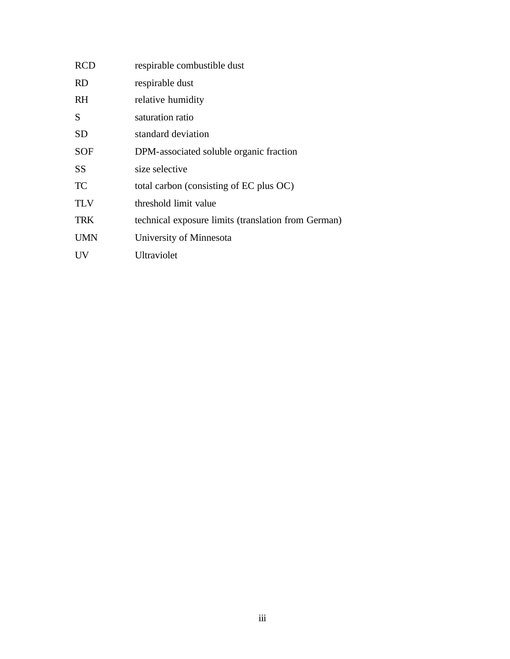| <b>RCD</b> | respirable combustible dust                         |
|------------|-----------------------------------------------------|
| RD         | respirable dust                                     |
| RH         | relative humidity                                   |
| S          | saturation ratio                                    |
| SD         | standard deviation                                  |
| <b>SOF</b> | DPM-associated soluble organic fraction             |
| SS         | size selective                                      |
| TC         | total carbon (consisting of EC plus OC)             |
| <b>TLV</b> | threshold limit value                               |
| TRK        | technical exposure limits (translation from German) |
| <b>UMN</b> | University of Minnesota                             |
| UV         | Ultraviolet                                         |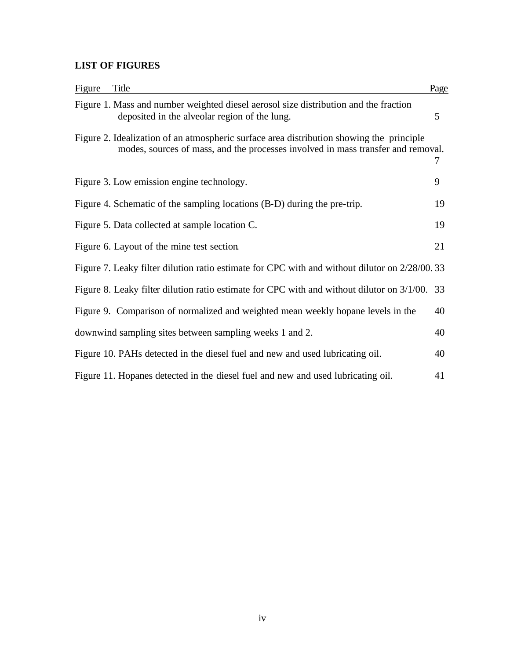# **LIST OF FIGURES**

| <b>Figure</b><br>Title                                                                                                                                                       | Page |
|------------------------------------------------------------------------------------------------------------------------------------------------------------------------------|------|
| Figure 1. Mass and number weighted diesel aerosol size distribution and the fraction<br>deposited in the alveolar region of the lung.                                        | 5    |
| Figure 2. Idealization of an atmospheric surface area distribution showing the principle<br>modes, sources of mass, and the processes involved in mass transfer and removal. | 7    |
| Figure 3. Low emission engine technology.                                                                                                                                    | 9    |
| Figure 4. Schematic of the sampling locations (B-D) during the pre-trip.                                                                                                     | 19   |
| Figure 5. Data collected at sample location C.                                                                                                                               | 19   |
| Figure 6. Layout of the mine test section.                                                                                                                                   | 21   |
| Figure 7. Leaky filter dilution ratio estimate for CPC with and without dilutor on 2/28/00. 33                                                                               |      |
| Figure 8. Leaky filter dilution ratio estimate for CPC with and without dilutor on 3/1/00. 33                                                                                |      |
| Figure 9. Comparison of normalized and weighted mean weekly hopane levels in the                                                                                             | 40   |
| downwind sampling sites between sampling weeks 1 and 2.                                                                                                                      | 40   |
| Figure 10. PAHs detected in the diesel fuel and new and used lubricating oil.                                                                                                | 40   |
| Figure 11. Hopanes detected in the diesel fuel and new and used lubricating oil.                                                                                             | 41   |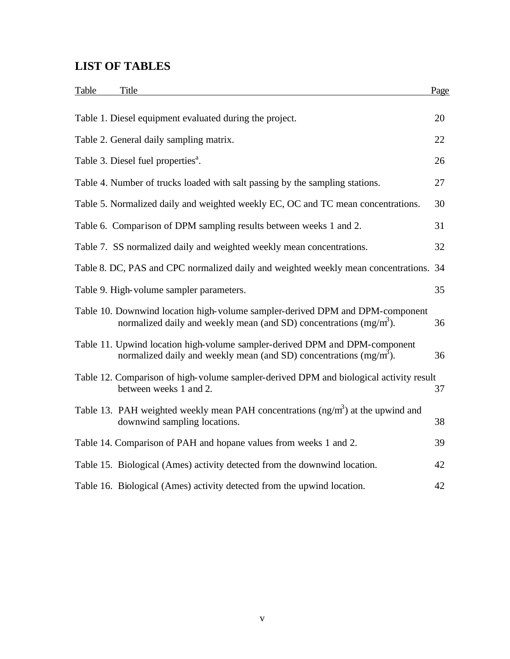# **LIST OF TABLES**

| Table | Title                                                                                                                                                           | Page |
|-------|-----------------------------------------------------------------------------------------------------------------------------------------------------------------|------|
|       | Table 1. Diesel equipment evaluated during the project.                                                                                                         | 20   |
|       | Table 2. General daily sampling matrix.                                                                                                                         | 22   |
|       | Table 3. Diesel fuel properties <sup>a</sup> .                                                                                                                  | 26   |
|       | Table 4. Number of trucks loaded with salt passing by the sampling stations.                                                                                    | 27   |
|       | Table 5. Normalized daily and weighted weekly EC, OC and TC mean concentrations.                                                                                | 30   |
|       | Table 6. Comparison of DPM sampling results between weeks 1 and 2.                                                                                              | 31   |
|       | Table 7. SS normalized daily and weighted weekly mean concentrations.                                                                                           | 32   |
|       | Table 8. DC, PAS and CPC normalized daily and weighted weekly mean concentrations. 34                                                                           |      |
|       | Table 9. High-volume sampler parameters.                                                                                                                        | 35   |
|       | Table 10. Downwind location high-volume sampler-derived DPM and DPM-component<br>normalized daily and weekly mean (and SD) concentrations (mg/m <sup>3</sup> ). | 36   |
|       | Table 11. Upwind location high-volume sampler-derived DPM and DPM-component<br>normalized daily and weekly mean (and SD) concentrations (mg/m <sup>3</sup> ).   | 36   |
|       | Table 12. Comparison of high-volume sampler-derived DPM and biological activity result<br>between weeks 1 and 2.                                                | 37   |
|       | Table 13. PAH weighted weekly mean PAH concentrations $(ng/m3)$ at the upwind and<br>downwind sampling locations.                                               | 38   |
|       | Table 14. Comparison of PAH and hopane values from weeks 1 and 2.                                                                                               | 39   |
|       | Table 15. Biological (Ames) activity detected from the downwind location.                                                                                       | 42   |
|       | Table 16. Biological (Ames) activity detected from the upwind location.                                                                                         | 42   |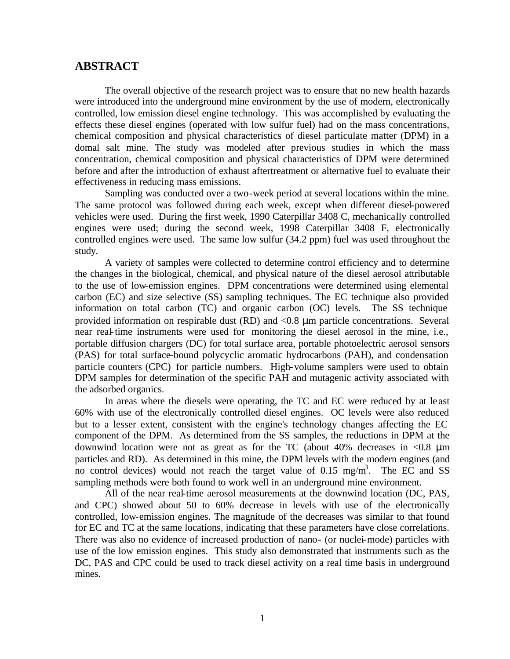## **ABSTRACT**

The overall objective of the research project was to ensure that no new health hazards were introduced into the underground mine environment by the use of modern, electronically controlled, low emission diesel engine technology. This was accomplished by evaluating the effects these diesel engines (operated with low sulfur fuel) had on the mass concentrations, chemical composition and physical characteristics of diesel particulate matter (DPM) in a domal salt mine. The study was modeled after previous studies in which the mass concentration, chemical composition and physical characteristics of DPM were determined before and after the introduction of exhaust aftertreatment or alternative fuel to evaluate their effectiveness in reducing mass emissions.

Sampling was conducted over a two-week period at several locations within the mine. The same protocol was followed during each week, except when different diesel-powered vehicles were used. During the first week, 1990 Caterpillar 3408 C, mechanically controlled engines were used; during the second week, 1998 Caterpillar 3408 F, electronically controlled engines were used. The same low sulfur (34.2 ppm) fuel was used throughout the study.

A variety of samples were collected to determine control efficiency and to determine the changes in the biological, chemical, and physical nature of the diesel aerosol attributable to the use of low-emission engines. DPM concentrations were determined using elemental carbon (EC) and size selective (SS) sampling techniques. The EC technique also provided information on total carbon (TC) and organic carbon (OC) levels. The SS technique provided information on respirable dust (RD) and  $\langle 0.8 \mu m$  particle concentrations. Several near real-time instruments were used for monitoring the diesel aerosol in the mine, i.e., portable diffusion chargers (DC) for total surface area, portable photoelectric aerosol sensors (PAS) for total surface-bound polycyclic aromatic hydrocarbons (PAH), and condensation particle counters (CPC) for particle numbers. High-volume samplers were used to obtain DPM samples for determination of the specific PAH and mutagenic activity associated with the adsorbed organics.

In areas where the diesels were operating, the TC and EC were reduced by at le ast 60% with use of the electronically controlled diesel engines. OC levels were also reduced but to a lesser extent, consistent with the engine's technology changes affecting the EC component of the DPM. As determined from the SS samples, the reductions in DPM at the downwind location were not as great as for the TC (about 40% decreases in  $\langle 0.8 \rangle$  µm particles and RD). As determined in this mine, the DPM levels with the modern engines (and no control devices) would not reach the target value of  $0.15 \text{ mg/m}^3$ . The EC and SS sampling methods were both found to work well in an underground mine environment.

All of the near real-time aerosol measurements at the downwind location (DC, PAS, and CPC) showed about 50 to 60% decrease in levels with use of the electronically controlled, low-emission engines. The magnitude of the decreases was similar to that found for EC and TC at the same locations, indicating that these parameters have close correlations. There was also no evidence of increased production of nano- (or nuclei-mode) particles with use of the low emission engines. This study also demonstrated that instruments such as the DC, PAS and CPC could be used to track diesel activity on a real time basis in underground mines.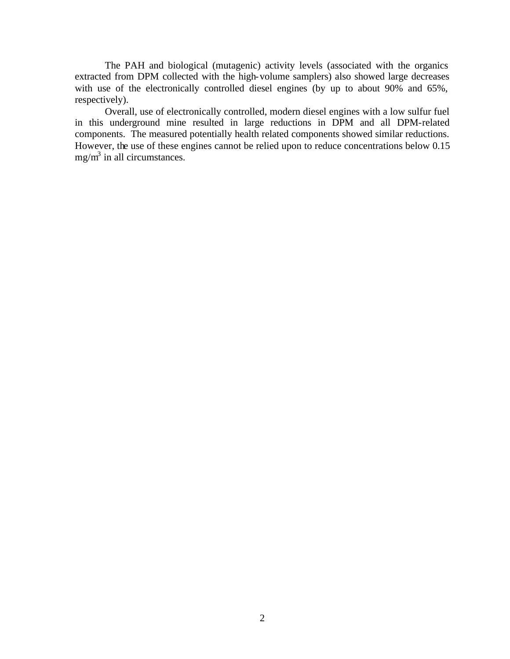The PAH and biological (mutagenic) activity levels (associated with the organics extracted from DPM collected with the high-volume samplers) also showed large decreases with use of the electronically controlled diesel engines (by up to about 90% and 65%, respectively).

Overall, use of electronically controlled, modern diesel engines with a low sulfur fuel in this underground mine resulted in large reductions in DPM and all DPM-related components. The measured potentially health related components showed similar reductions. However, the use of these engines cannot be relied upon to reduce concentrations below 0.15  $mg/m<sup>3</sup>$  in all circumstances.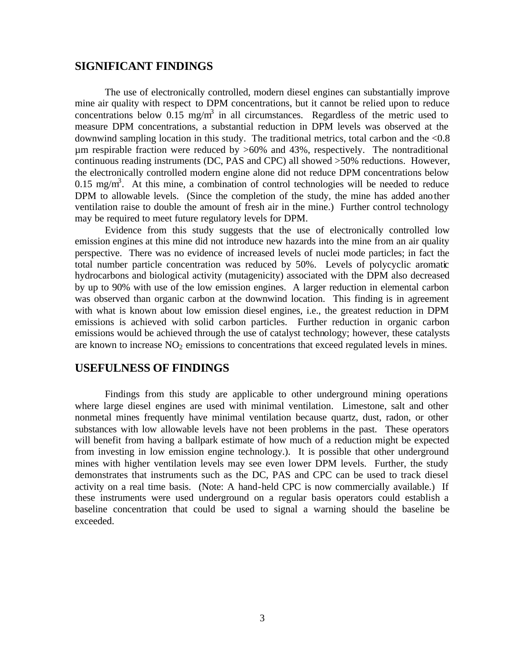## **SIGNIFICANT FINDINGS**

The use of electronically controlled, modern diesel engines can substantially improve mine air quality with respect to DPM concentrations, but it cannot be relied upon to reduce concentrations below  $0.15 \text{ mg/m}^3$  in all circumstances. Regardless of the metric used to measure DPM concentrations, a substantial reduction in DPM levels was observed at the downwind sampling location in this study. The traditional metrics, total carbon and the <0.8  $\mu$ m respirable fraction were reduced by  $>60\%$  and 43%, respectively. The nontraditional continuous reading instruments (DC, PAS and CPC) all showed >50% reductions. However, the electronically controlled modern engine alone did not reduce DPM concentrations below  $0.15$  mg/m<sup>3</sup>. At this mine, a combination of control technologies will be needed to reduce DPM to allowable levels. (Since the completion of the study, the mine has added another ventilation raise to double the amount of fresh air in the mine.) Further control technology may be required to meet future regulatory levels for DPM.

Evidence from this study suggests that the use of electronically controlled low emission engines at this mine did not introduce new hazards into the mine from an air quality perspective. There was no evidence of increased levels of nuclei mode particles; in fact the total number particle concentration was reduced by 50%. Levels of polycyclic aromatic hydrocarbons and biological activity (mutagenicity) associated with the DPM also decreased by up to 90% with use of the low emission engines. A larger reduction in elemental carbon was observed than organic carbon at the downwind location. This finding is in agreement with what is known about low emission diesel engines, i.e., the greatest reduction in DPM emissions is achieved with solid carbon particles. Further reduction in organic carbon emissions would be achieved through the use of catalyst technology; however, these catalysts are known to increase  $NO<sub>2</sub>$  emissions to concentrations that exceed regulated levels in mines.

## **USEFULNESS OF FINDINGS**

Findings from this study are applicable to other underground mining operations where large diesel engines are used with minimal ventilation. Limestone, salt and other nonmetal mines frequently have minimal ventilation because quartz, dust, radon, or other substances with low allowable levels have not been problems in the past. These operators will benefit from having a ballpark estimate of how much of a reduction might be expected from investing in low emission engine technology.). It is possible that other underground mines with higher ventilation levels may see even lower DPM levels. Further, the study demonstrates that instruments such as the DC, PAS and CPC can be used to track diesel activity on a real time basis. (Note: A hand-held CPC is now commercially available.) If these instruments were used underground on a regular basis operators could establish a baseline concentration that could be used to signal a warning should the baseline be exceeded.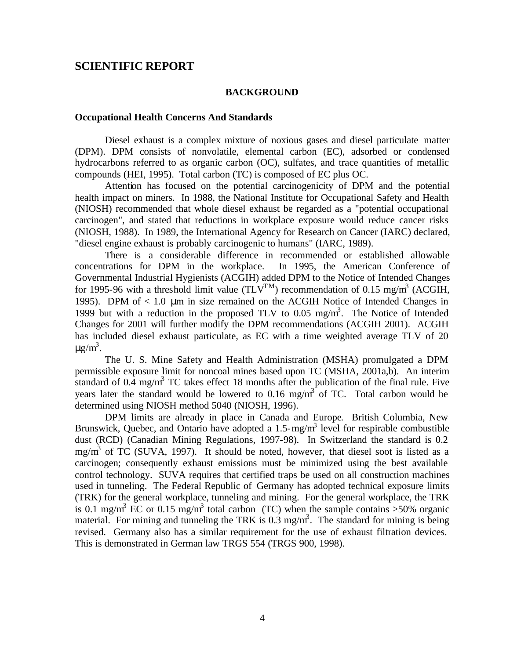## **SCIENTIFIC REPORT**

#### **BACKGROUND**

#### **Occupational Health Concerns And Standards**

Diesel exhaust is a complex mixture of noxious gases and diesel particulate matter (DPM). DPM consists of nonvolatile, elemental carbon (EC), adsorbed or condensed hydrocarbons referred to as organic carbon (OC), sulfates, and trace quantities of metallic compounds (HEI, 1995). Total carbon (TC) is composed of EC plus OC.

Attention has focused on the potential carcinogenicity of DPM and the potential health impact on miners. In 1988, the National Institute for Occupational Safety and Health (NIOSH) recommended that whole diesel exhaust be regarded as a "potential occupational carcinogen", and stated that reductions in workplace exposure would reduce cancer risks (NIOSH, 1988). In 1989, the International Agency for Research on Cancer (IARC) declared, "diesel engine exhaust is probably carcinogenic to humans" (IARC, 1989).

There is a considerable difference in recommended or established allowable concentrations for DPM in the workplace. In 1995, the American Conference of Governmental Industrial Hygienists (ACGIH) added DPM to the Notice of Intended Changes for 1995-96 with a threshold limit value (TLV<sup>TM</sup>) recommendation of 0.15 mg/m<sup>3</sup> (ACGIH, 1995). DPM of < 1.0 μm in size remained on the ACGIH Notice of Intended Changes in 1999 but with a reduction in the proposed TLV to  $0.05$  mg/m<sup>3</sup>. The Notice of Intended Changes for 2001 will further modify the DPM recommendations (ACGIH 2001). ACGIH has included diesel exhaust particulate, as EC with a time weighted average TLV of 20 μg/m<sup>3</sup>.

The U. S. Mine Safety and Health Administration (MSHA) promulgated a DPM permissible exposure limit for noncoal mines based upon TC (MSHA, 2001a,b). An interim standard of  $0.\overline{4}$  mg/m<sup>3</sup> TC takes effect 18 months after the publication of the final rule. Five years later the standard would be lowered to  $0.16 \text{ mg/m}^3$  of TC. Total carbon would be determined using NIOSH method 5040 (NIOSH, 1996).

DPM limits are already in place in Canada and Europe. British Columbia, New Brunswick, Quebec, and Ontario have adopted a 1.5-mg/m<sup>3</sup> level for respirable combustible dust (RCD) (Canadian Mining Regulations, 1997-98). In Switzerland the standard is 0.2  $mg/m<sup>3</sup>$  of TC (SUVA, 1997). It should be noted, however, that diesel soot is listed as a carcinogen; consequently exhaust emissions must be minimized using the best available control technology. SUVA requires that certified traps be used on all construction machines used in tunneling. The Federal Republic of Germany has adopted technical exposure limits (TRK) for the general workplace, tunneling and mining. For the general workplace, the TRK is 0.1 mg/m<sup>3</sup> EC or 0.15 mg/m<sup>3</sup> total carbon (TC) when the sample contains >50% organic material. For mining and tunneling the TRK is  $0.3 \text{ mg/m}^3$ . The standard for mining is being revised. Germany also has a similar requirement for the use of exhaust filtration devices. This is demonstrated in German law TRGS 554 (TRGS 900, 1998).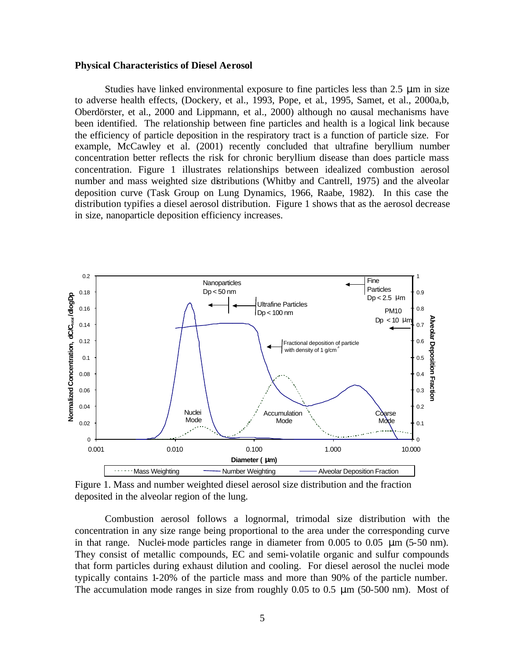### **Physical Characteristics of Diesel Aerosol**

Studies have linked environmental exposure to fine particles less than 2.5 μm in size to adverse health effects, (Dockery, et al., 1993, Pope, et al*.*, 1995, Samet, et al., 2000a,b, Oberdörster, et al., 2000 and Lippmann, et al., 2000) although no causal mechanisms have been identified. The relationship between fine particles and health is a logical link because the efficiency of particle deposition in the respiratory tract is a function of particle size. For example, McCawley et al. (2001) recently concluded that ultrafine beryllium number concentration better reflects the risk for chronic beryllium disease than does particle mass concentration. Figure 1 illustrates relationships between idealized combustion aerosol number and mass weighted size distributions (Whitby and Cantrell, 1975) and the alveolar deposition curve (Task Group on Lung Dynamics, 1966, Raabe, 1982). In this case the distribution typifies a diesel aerosol distribution. Figure 1 shows that as the aerosol decrease in size, nanoparticle deposition efficiency increases.



Figure 1. Mass and number weighted diesel aerosol size distribution and the fraction deposited in the alveolar region of the lung.

Combustion aerosol follows a lognormal, trimodal size distribution with the concentration in any size range being proportional to the area under the corresponding curve in that range. Nuclei-mode particles range in diameter from  $0.005$  to  $0.05 \mu m$  (5-50 nm). They consist of metallic compounds, EC and semi-volatile organic and sulfur compounds that form particles during exhaust dilution and cooling. For diesel aerosol the nuclei mode typically contains 1-20% of the particle mass and more than 90% of the particle number. The accumulation mode ranges in size from roughly  $0.05$  to  $0.5 \mu$ m (50-500 nm). Most of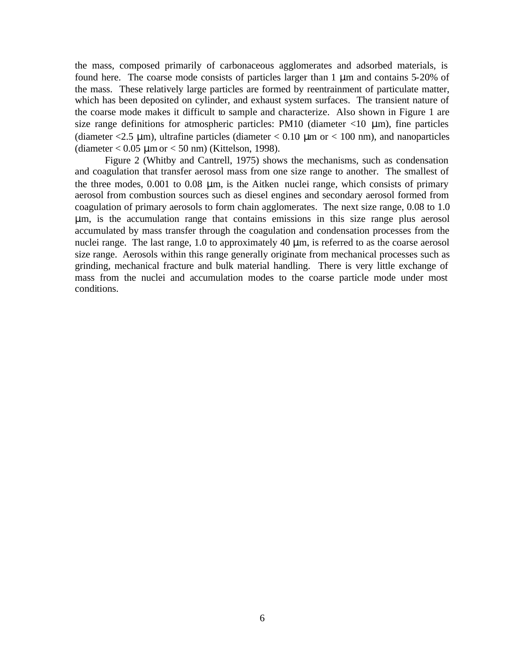the mass, composed primarily of carbonaceous agglomerates and adsorbed materials, is found here. The coarse mode consists of particles larger than 1 μm and contains 5-20% of the mass. These relatively large particles are formed by reentrainment of particulate matter, which has been deposited on cylinder, and exhaust system surfaces. The transient nature of the coarse mode makes it difficult to sample and characterize. Also shown in Figure 1 are size range definitions for atmospheric particles: PM10 (diameter  $\langle 10 \mu m \rangle$ , fine particles (diameter  $\langle 2.5 \text{ }\mu \text{m} \rangle$ , ultrafine particles (diameter  $\langle 0.10 \text{ }\mu \text{m} \text{ or } \langle 100 \text{ }\mu \text{m} \rangle$ , and nanoparticles (diameter  $< 0.05 \mu$ m or  $< 50 \text{ nm}$ ) (Kittelson, 1998).

Figure 2 (Whitby and Cantrell, 1975) shows the mechanisms, such as condensation and coagulation that transfer aerosol mass from one size range to another. The smallest of the three modes, 0.001 to 0.08 μm, is the Aitken nuclei range, which consists of primary aerosol from combustion sources such as diesel engines and secondary aerosol formed from coagulation of primary aerosols to form chain agglomerates. The next size range, 0.08 to 1.0 μm, is the accumulation range that contains emissions in this size range plus aerosol accumulated by mass transfer through the coagulation and condensation processes from the nuclei range. The last range, 1.0 to approximately 40 μm, is referred to as the coarse aerosol size range. Aerosols within this range generally originate from mechanical processes such as grinding, mechanical fracture and bulk material handling. There is very little exchange of mass from the nuclei and accumulation modes to the coarse particle mode under most conditions.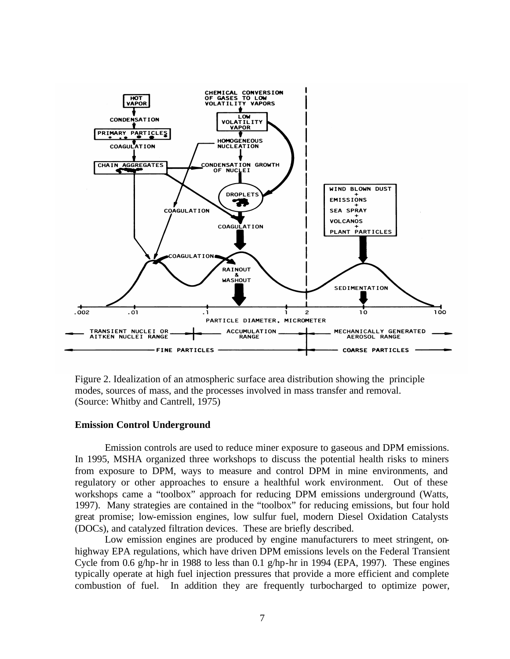

Figure 2. Idealization of an atmospheric surface area distribution showing the principle modes, sources of mass, and the processes involved in mass transfer and removal. (Source: Whitby and Cantrell, 1975)

### **Emission Control Underground**

Emission controls are used to reduce miner exposure to gaseous and DPM emissions. In 1995, MSHA organized three workshops to discuss the potential health risks to miners from exposure to DPM, ways to measure and control DPM in mine environments, and regulatory or other approaches to ensure a healthful work environment. Out of these workshops came a "toolbox" approach for reducing DPM emissions underground (Watts, 1997). Many strategies are contained in the "toolbox" for reducing emissions, but four hold great promise; low-emission engines, low sulfur fuel, modern Diesel Oxidation Catalysts (DOCs), and catalyzed filtration devices. These are briefly described.

Low emission engines are produced by engine manufacturers to meet stringent, onhighway EPA regulations, which have driven DPM emissions levels on the Federal Transient Cycle from 0.6 g/hp-hr in 1988 to less than 0.1 g/hp-hr in 1994 (EPA, 1997). These engines typically operate at high fuel injection pressures that provide a more efficient and complete combustion of fuel. In addition they are frequently turbocharged to optimize power,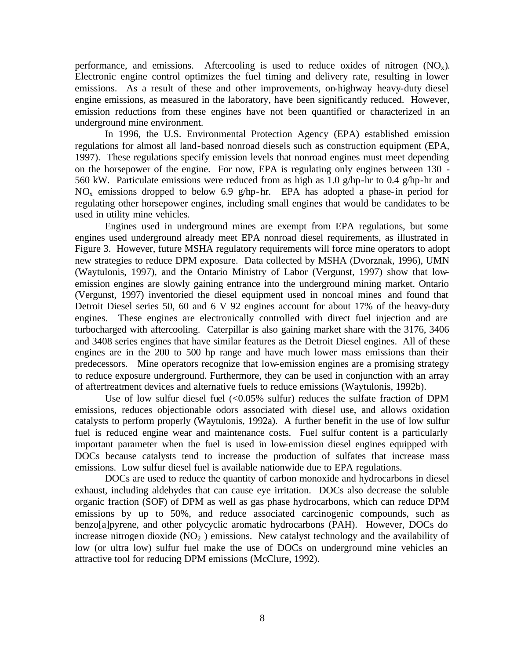performance, and emissions. Aftercooling is used to reduce oxides of nitrogen  $(NO<sub>x</sub>)$ . Electronic engine control optimizes the fuel timing and delivery rate, resulting in lower emissions. As a result of these and other improvements, on-highway heavy-duty diesel engine emissions, as measured in the laboratory, have been significantly reduced. However, emission reductions from these engines have not been quantified or characterized in an underground mine environment.

In 1996, the U.S. Environmental Protection Agency (EPA) established emission regulations for almost all land-based nonroad diesels such as construction equipment (EPA, 1997). These regulations specify emission levels that nonroad engines must meet depending on the horsepower of the engine. For now, EPA is regulating only engines between 130 - 560 kW. Particulate emissions were reduced from as high as 1.0 g/hp-hr to 0.4 g/hp-hr and  $NO<sub>x</sub>$  emissions dropped to below 6.9 g/hp-hr. EPA has adopted a phase-in period for regulating other horsepower engines, including small engines that would be candidates to be used in utility mine vehicles.

Engines used in underground mines are exempt from EPA regulations, but some engines used underground already meet EPA nonroad diesel requirements, as illustrated in Figure 3. However, future MSHA regulatory requirements will force mine operators to adopt new strategies to reduce DPM exposure. Data collected by MSHA (Dvorznak, 1996), UMN (Waytulonis, 1997), and the Ontario Ministry of Labor (Vergunst, 1997) show that lowemission engines are slowly gaining entrance into the underground mining market. Ontario (Vergunst, 1997) inventoried the diesel equipment used in noncoal mines and found that Detroit Diesel series 50, 60 and 6 V 92 engines account for about 17% of the heavy-duty engines. These engines are electronically controlled with direct fuel injection and are turbocharged with aftercooling. Caterpillar is also gaining market share with the 3176, 3406 and 3408 series engines that have similar features as the Detroit Diesel engines. All of these engines are in the 200 to 500 hp range and have much lower mass emissions than their predecessors. Mine operators recognize that low-emission engines are a promising strategy to reduce exposure underground. Furthermore, they can be used in conjunction with an array of aftertreatment devices and alternative fuels to reduce emissions (Waytulonis, 1992b).

Use of low sulfur diesel fuel  $\langle 0.05\%$  sulfur) reduces the sulfate fraction of DPM emissions, reduces objectionable odors associated with diesel use, and allows oxidation catalysts to perform properly (Waytulonis, 1992a). A further benefit in the use of low sulfur fuel is reduced engine wear and maintenance costs. Fuel sulfur content is a particularly important parameter when the fuel is used in low-emission diesel engines equipped with DOCs because catalysts tend to increase the production of sulfates that increase mass emissions. Low sulfur diesel fuel is available nationwide due to EPA regulations.

DOCs are used to reduce the quantity of carbon monoxide and hydrocarbons in diesel exhaust, including aldehydes that can cause eye irritation. DOCs also decrease the soluble organic fraction (SOF) of DPM as well as gas phase hydrocarbons, which can reduce DPM emissions by up to 50%, and reduce associated carcinogenic compounds, such as benzo[a]pyrene, and other polycyclic aromatic hydrocarbons (PAH). However, DOCs do increase nitrogen dioxide  $(NO<sub>2</sub>)$  emissions. New catalyst technology and the availability of low (or ultra low) sulfur fuel make the use of DOCs on underground mine vehicles an attractive tool for reducing DPM emissions (McClure, 1992).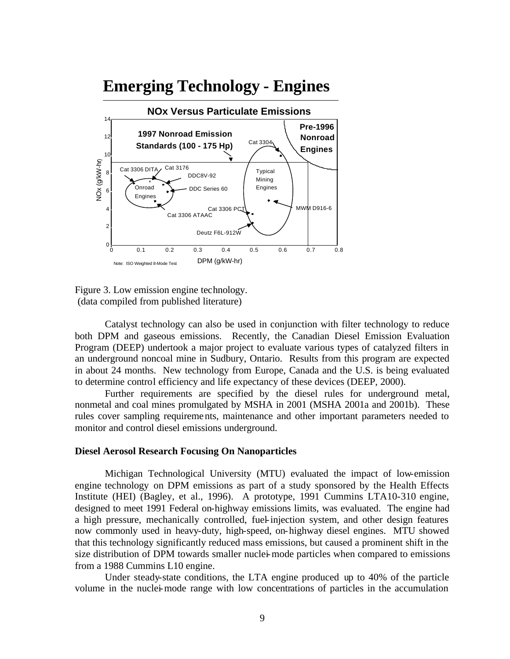

Figure 3. Low emission engine technology. (data compiled from published literature)

Catalyst technology can also be used in conjunction with filter technology to reduce both DPM and gaseous emissions. Recently, the Canadian Diesel Emission Evaluation Program (DEEP) undertook a major project to evaluate various types of catalyzed filters in an underground noncoal mine in Sudbury, Ontario. Results from this program are expected in about 24 months. New technology from Europe, Canada and the U.S. is being evaluated to determine control efficiency and life expectancy of these devices (DEEP, 2000).

Further requirements are specified by the diesel rules for underground metal, nonmetal and coal mines promulgated by MSHA in 2001 (MSHA 2001a and 2001b). These rules cover sampling requirements, maintenance and other important parameters needed to monitor and control diesel emissions underground.

#### **Diesel Aerosol Research Focusing On Nanoparticles**

Michigan Technological University (MTU) evaluated the impact of low-emission engine technology on DPM emissions as part of a study sponsored by the Health Effects Institute (HEI) (Bagley, et al., 1996). A prototype, 1991 Cummins LTA10-310 engine, designed to meet 1991 Federal on-highway emissions limits, was evaluated. The engine had a high pressure, mechanically controlled, fuel-injection system, and other design features now commonly used in heavy-duty, high-speed, on-highway diesel engines. MTU showed that this technology significantly reduced mass emissions, but caused a prominent shift in the size distribution of DPM towards smaller nuclei-mode particles when compared to emissions from a 1988 Cummins L10 engine.

Under steady-state conditions, the LTA engine produced up to 40% of the particle volume in the nuclei-mode range with low concentrations of particles in the accumulation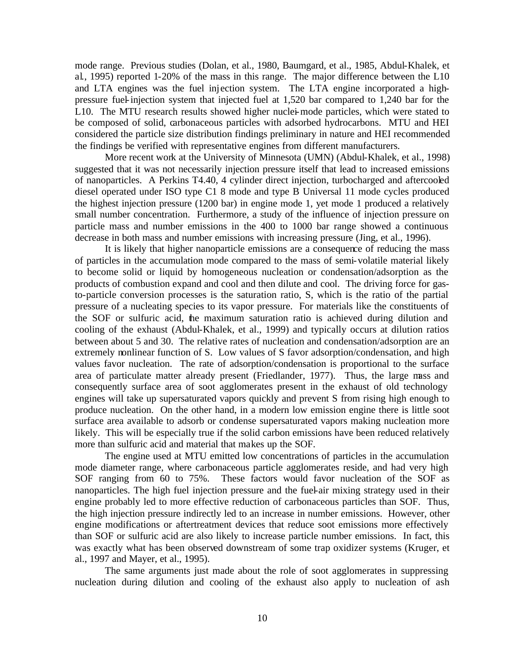mode range. Previous studies (Dolan, et al., 1980, Baumgard, et al., 1985, Abdul-Khalek, et al*.*, 1995) reported 1-20% of the mass in this range. The major difference between the L10 and LTA engines was the fuel injection system. The LTA engine incorporated a highpressure fuel-injection system that injected fuel at 1,520 bar compared to 1,240 bar for the L10. The MTU research results showed higher nuclei-mode particles, which were stated to be composed of solid, carbonaceous particles with adsorbed hydrocarbons. MTU and HEI considered the particle size distribution findings preliminary in nature and HEI recommended the findings be verified with representative engines from different manufacturers.

More recent work at the University of Minnesota (UMN) (Abdul-Khalek, et al., 1998) suggested that it was not necessarily injection pressure itself that lead to increased emissions of nanoparticles. A Perkins T4.40, 4 cylinder direct injection, turbocharged and aftercooled diesel operated under ISO type C1 8 mode and type B Universal 11 mode cycles produced the highest injection pressure (1200 bar) in engine mode 1, yet mode 1 produced a relatively small number concentration. Furthermore, a study of the influence of injection pressure on particle mass and number emissions in the 400 to 1000 bar range showed a continuous decrease in both mass and number emissions with increasing pressure (Jing, et al., 1996).

It is likely that higher nanoparticle emissions are a consequence of reducing the mass of particles in the accumulation mode compared to the mass of semi-volatile material likely to become solid or liquid by homogeneous nucleation or condensation/adsorption as the products of combustion expand and cool and then dilute and cool. The driving force for gasto-particle conversion processes is the saturation ratio, S, which is the ratio of the partial pressure of a nucleating species to its vapor pressure. For materials like the constituents of the SOF or sulfuric acid, the maximum saturation ratio is achieved during dilution and cooling of the exhaust (Abdul-Khalek, et al., 1999) and typically occurs at dilution ratios between about 5 and 30. The relative rates of nucleation and condensation/adsorption are an extremely nonlinear function of S. Low values of S favor adsorption/condensation, and high values favor nucleation. The rate of adsorption/condensation is proportional to the surface area of particulate matter already present (Friedlander, 1977). Thus, the large mass and consequently surface area of soot agglomerates present in the exhaust of old technology engines will take up supersaturated vapors quickly and prevent S from rising high enough to produce nucleation. On the other hand, in a modern low emission engine there is little soot surface area available to adsorb or condense supersaturated vapors making nucleation more likely. This will be especially true if the solid carbon emissions have been reduced relatively more than sulfuric acid and material that makes up the SOF.

The engine used at MTU emitted low concentrations of particles in the accumulation mode diameter range, where carbonaceous particle agglomerates reside, and had very high SOF ranging from 60 to 75%. These factors would favor nucleation of the SOF as nanoparticles. The high fuel injection pressure and the fuel-air mixing strategy used in their engine probably led to more effective reduction of carbonaceous particles than SOF. Thus, the high injection pressure indirectly led to an increase in number emissions. However, other engine modifications or aftertreatment devices that reduce soot emissions more effectively than SOF or sulfuric acid are also likely to increase particle number emissions. In fact, this was exactly what has been observed downstream of some trap oxidizer systems (Kruger, et al., 1997 and Mayer, et al., 1995).

The same arguments just made about the role of soot agglomerates in suppressing nucleation during dilution and cooling of the exhaust also apply to nucleation of ash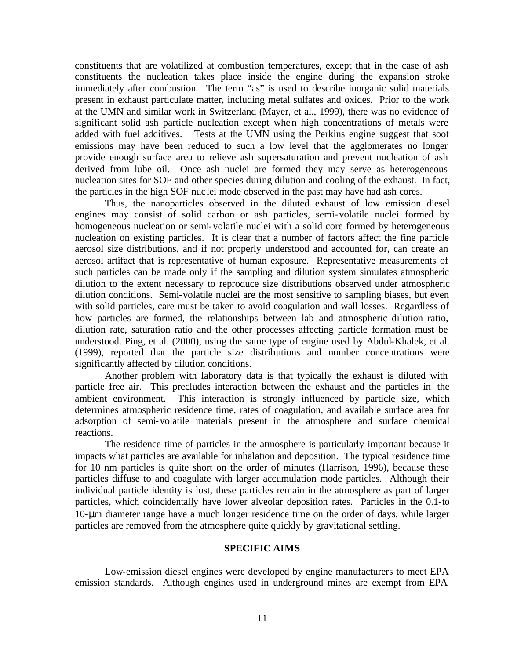constituents that are volatilized at combustion temperatures, except that in the case of ash constituents the nucleation takes place inside the engine during the expansion stroke immediately after combustion. The term "as" is used to describe inorganic solid materials present in exhaust particulate matter, including metal sulfates and oxides. Prior to the work at the UMN and similar work in Switzerland (Mayer, et al., 1999), there was no evidence of significant solid ash particle nucleation except when high concentrations of metals were added with fuel additives. Tests at the UMN using the Perkins engine suggest that soot emissions may have been reduced to such a low level that the agglomerates no longer provide enough surface area to relieve ash supersaturation and prevent nucleation of ash derived from lube oil. Once ash nuclei are formed they may serve as heterogeneous nucleation sites for SOF and other species during dilution and cooling of the exhaust. In fact, the particles in the high SOF nuc lei mode observed in the past may have had ash cores.

Thus, the nanoparticles observed in the diluted exhaust of low emission diesel engines may consist of solid carbon or ash particles, semi-volatile nuclei formed by homogeneous nucleation or semi-volatile nuclei with a solid core formed by heterogeneous nucleation on existing particles. It is clear that a number of factors affect the fine particle aerosol size distributions, and if not properly understood and accounted for, can create an aerosol artifact that is representative of human exposure. Representative measurements of such particles can be made only if the sampling and dilution system simulates atmospheric dilution to the extent necessary to reproduce size distributions observed under atmospheric dilution conditions. Semi-volatile nuclei are the most sensitive to sampling biases, but even with solid particles, care must be taken to avoid coagulation and wall losses. Regardless of how particles are formed, the relationships between lab and atmospheric dilution ratio, dilution rate, saturation ratio and the other processes affecting particle formation must be understood. Ping*,* et al. (2000), using the same type of engine used by Abdul-Khalek, et al. (1999), reported that the particle size distributions and number concentrations were significantly affected by dilution conditions.

Another problem with laboratory data is that typically the exhaust is diluted with particle free air. This precludes interaction between the exhaust and the particles in the ambient environment. This interaction is strongly influenced by particle size, which determines atmospheric residence time, rates of coagulation, and available surface area for adsorption of semi-volatile materials present in the atmosphere and surface chemical reactions.

The residence time of particles in the atmosphere is particularly important because it impacts what particles are available for inhalation and deposition. The typical residence time for 10 nm particles is quite short on the order of minutes (Harrison, 1996), because these particles diffuse to and coagulate with larger accumulation mode particles. Although their individual particle identity is lost, these particles remain in the atmosphere as part of larger particles, which coincidentally have lower alveolar deposition rates. Particles in the 0.1-to 10-μm diameter range have a much longer residence time on the order of days, while larger particles are removed from the atmosphere quite quickly by gravitational settling.

## **SPECIFIC AIMS**

Low-emission diesel engines were developed by engine manufacturers to meet EPA emission standards. Although engines used in underground mines are exempt from EPA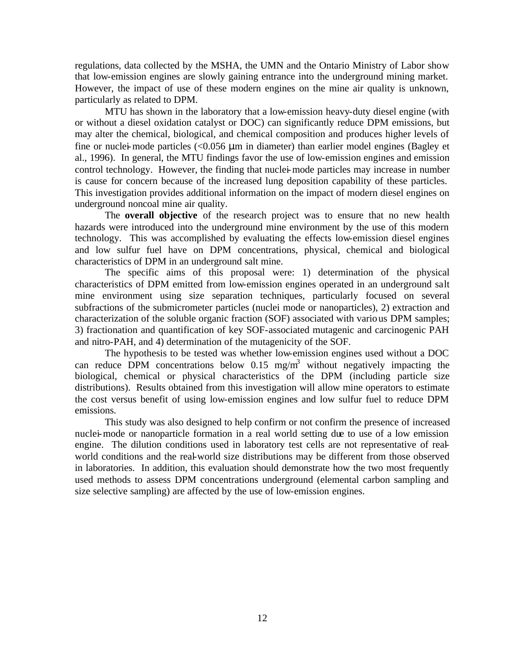regulations, data collected by the MSHA, the UMN and the Ontario Ministry of Labor show that low-emission engines are slowly gaining entrance into the underground mining market. However, the impact of use of these modern engines on the mine air quality is unknown, particularly as related to DPM.

MTU has shown in the laboratory that a low-emission heavy-duty diesel engine (with or without a diesel oxidation catalyst or DOC) can significantly reduce DPM emissions, but may alter the chemical, biological, and chemical composition and produces higher levels of fine or nuclei-mode particles (<0.056 μm in diameter) than earlier model engines (Bagley et al., 1996). In general, the MTU findings favor the use of low-emission engines and emission control technology. However, the finding that nuclei-mode particles may increase in number is cause for concern because of the increased lung deposition capability of these particles. This investigation provides additional information on the impact of modern diesel engines on underground noncoal mine air quality.

The **overall objective** of the research project was to ensure that no new health hazards were introduced into the underground mine environment by the use of this modern technology. This was accomplished by evaluating the effects low-emission diesel engines and low sulfur fuel have on DPM concentrations, physical, chemical and biological characteristics of DPM in an underground salt mine.

The specific aims of this proposal were: 1) determination of the physical characteristics of DPM emitted from low-emission engines operated in an underground salt mine environment using size separation techniques, particularly focused on several subfractions of the submicrometer particles (nuclei mode or nanoparticles), 2) extraction and characterization of the soluble organic fraction (SOF) associated with various DPM samples; 3) fractionation and quantification of key SOF-associated mutagenic and carcinogenic PAH and nitro-PAH, and 4) determination of the mutagenicity of the SOF.

The hypothesis to be tested was whether low-emission engines used without a DOC can reduce DPM concentrations below  $0.15$  mg/m<sup>3</sup> without negatively impacting the biological, chemical or physical characteristics of the DPM (including particle size distributions). Results obtained from this investigation will allow mine operators to estimate the cost versus benefit of using low-emission engines and low sulfur fuel to reduce DPM emissions.

This study was also designed to help confirm or not confirm the presence of increased nuclei-mode or nanoparticle formation in a real world setting due to use of a low emission engine. The dilution conditions used in laboratory test cells are not representative of realworld conditions and the real-world size distributions may be different from those observed in laboratories. In addition, this evaluation should demonstrate how the two most frequently used methods to assess DPM concentrations underground (elemental carbon sampling and size selective sampling) are affected by the use of low-emission engines.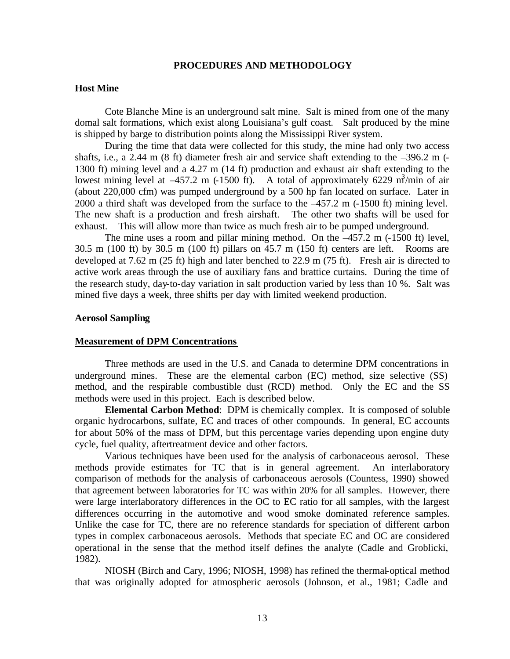### **PROCEDURES AND METHODOLOGY**

## **Host Mine**

Cote Blanche Mine is an underground salt mine. Salt is mined from one of the many domal salt formations, which exist along Louisiana's gulf coast. Salt produced by the mine is shipped by barge to distribution points along the Mississippi River system.

During the time that data were collected for this study, the mine had only two access shafts, i.e., a 2.44 m (8 ft) diameter fresh air and service shaft extending to the  $-396.2$  m (-1300 ft) mining level and a 4.27 m (14 ft) production and exhaust air shaft extending to the lowest mining level at  $-457.2$  m (-1500 ft). A total of approximately 6229 m<sup>3</sup>/min of air (about 220,000 cfm) was pumped underground by a 500 hp fan located on surface. Later in 2000 a third shaft was developed from the surface to the –457.2 m (-1500 ft) mining level. The new shaft is a production and fresh airshaft. The other two shafts will be used for exhaust. This will allow more than twice as much fresh air to be pumped underground.

The mine uses a room and pillar mining method. On the  $-457.2$  m (-1500 ft) level, 30.5 m (100 ft) by 30.5 m (100 ft) pillars on 45.7 m (150 ft) centers are left. Rooms are developed at 7.62 m (25 ft) high and later benched to 22.9 m (75 ft). Fresh air is directed to active work areas through the use of auxiliary fans and brattice curtains. During the time of the research study, day-to-day variation in salt production varied by less than 10 %. Salt was mined five days a week, three shifts per day with limited weekend production.

#### **Aerosol Sampling**

### **Measurement of DPM Concentrations**

Three methods are used in the U.S. and Canada to determine DPM concentrations in underground mines. These are the elemental carbon (EC) method, size selective (SS) method, and the respirable combustible dust (RCD) method. Only the EC and the SS methods were used in this project. Each is described below.

**Elemental Carbon Method**: DPM is chemically complex. It is composed of soluble organic hydrocarbons, sulfate, EC and traces of other compounds. In general, EC accounts for about 50% of the mass of DPM, but this percentage varies depending upon engine duty cycle, fuel quality, aftertreatment device and other factors.

Various techniques have been used for the analysis of carbonaceous aerosol. These methods provide estimates for TC that is in general agreement. An interlaboratory comparison of methods for the analysis of carbonaceous aerosols (Countess, 1990) showed that agreement between laboratories for TC was within 20% for all samples. However, there were large interlaboratory differences in the OC to EC ratio for all samples, with the largest differences occurring in the automotive and wood smoke dominated reference samples. Unlike the case for TC, there are no reference standards for speciation of different carbon types in complex carbonaceous aerosols. Methods that speciate EC and OC are considered operational in the sense that the method itself defines the analyte (Cadle and Groblicki, 1982).

NIOSH (Birch and Cary, 1996; NIOSH, 1998) has refined the thermal-optical method that was originally adopted for atmospheric aerosols (Johnson, et al., 1981; Cadle and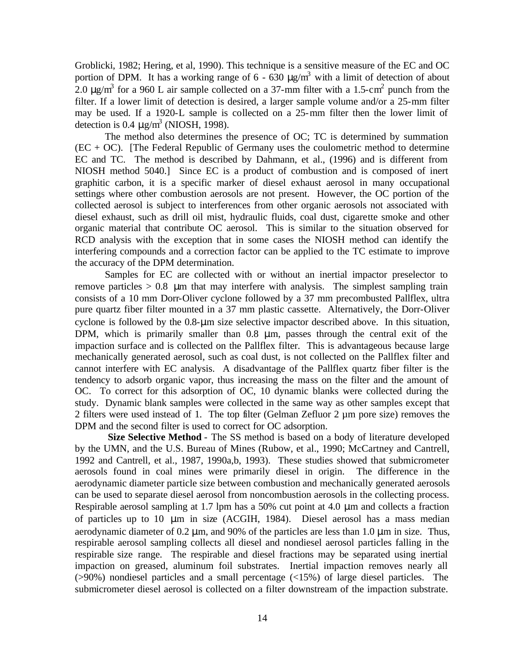Groblicki, 1982; Hering, et al, 1990). This technique is a sensitive measure of the EC and OC portion of DPM. It has a working range of  $6 - 630 \mu g/m^3$  with a limit of detection of about 2.0  $\mu$ g/m<sup>3</sup> for a 960 L air sample collected on a 37-mm filter with a 1.5-cm<sup>2</sup> punch from the filter. If a lower limit of detection is desired, a larger sample volume and/or a 25-mm filter may be used. If a 1920-L sample is collected on a 25-mm filter then the lower limit of detection is 0.4  $\mu$ g/m<sup>3</sup> (NIOSH, 1998).

The method also determines the presence of OC; TC is determined by summation  $(EC + OC)$ . [The Federal Republic of Germany uses the coulometric method to determine EC and TC. The method is described by Dahmann, et al., (1996) and is different from NIOSH method 5040.] Since EC is a product of combustion and is composed of inert graphitic carbon, it is a specific marker of diesel exhaust aerosol in many occupational settings where other combustion aerosols are not present. However, the OC portion of the collected aerosol is subject to interferences from other organic aerosols not associated with diesel exhaust, such as drill oil mist, hydraulic fluids, coal dust, cigarette smoke and other organic material that contribute OC aerosol. This is similar to the situation observed for RCD analysis with the exception that in some cases the NIOSH method can identify the interfering compounds and a correction factor can be applied to the TC estimate to improve the accuracy of the DPM determination.

Samples for EC are collected with or without an inertial impactor preselector to remove particles  $> 0.8$  µm that may interfere with analysis. The simplest sampling train consists of a 10 mm Dorr-Oliver cyclone followed by a 37 mm precombusted Pallflex, ultra pure quartz fiber filter mounted in a 37 mm plastic cassette. Alternatively, the Dorr-Oliver cyclone is followed by the 0.8-μm size selective impactor described above. In this situation, DPM, which is primarily smaller than 0.8 μm, passes through the central exit of the impaction surface and is collected on the Pallflex filter. This is advantageous because large mechanically generated aerosol, such as coal dust, is not collected on the Pallflex filter and cannot interfere with EC analysis. A disadvantage of the Pallflex quartz fiber filter is the tendency to adsorb organic vapor, thus increasing the mass on the filter and the amount of OC. To correct for this adsorption of OC, 10 dynamic blanks were collected during the study. Dynamic blank samples were collected in the same way as other samples except that 2 filters were used instead of 1. The top filter (Gelman Zefluor 2  $\mu$ m pore size) removes the DPM and the second filter is used to correct for OC adsorption.

 **Size Selective Method** - The SS method is based on a body of literature developed by the UMN, and the U.S. Bureau of Mines (Rubow, et al., 1990; McCartney and Cantrell, 1992 and Cantrell*,* et al., 1987, 1990a,b, 1993). These studies showed that submicrometer aerosols found in coal mines were primarily diesel in origin. The difference in the aerodynamic diameter particle size between combustion and mechanically generated aerosols can be used to separate diesel aerosol from noncombustion aerosols in the collecting process. Respirable aerosol sampling at 1.7 lpm has a 50% cut point at 4.0 μm and collects a fraction of particles up to 10 μm in size (ACGIH, 1984). Diesel aerosol has a mass median aerodynamic diameter of 0.2  $\mu$ m, and 90% of the particles are less than 1.0  $\mu$ m in size. Thus, respirable aerosol sampling collects all diesel and nondiesel aerosol particles falling in the respirable size range. The respirable and diesel fractions may be separated using inertial impaction on greased, aluminum foil substrates. Inertial impaction removes nearly all (>90%) nondiesel particles and a small percentage (<15%) of large diesel particles. The submicrometer diesel aerosol is collected on a filter downstream of the impaction substrate.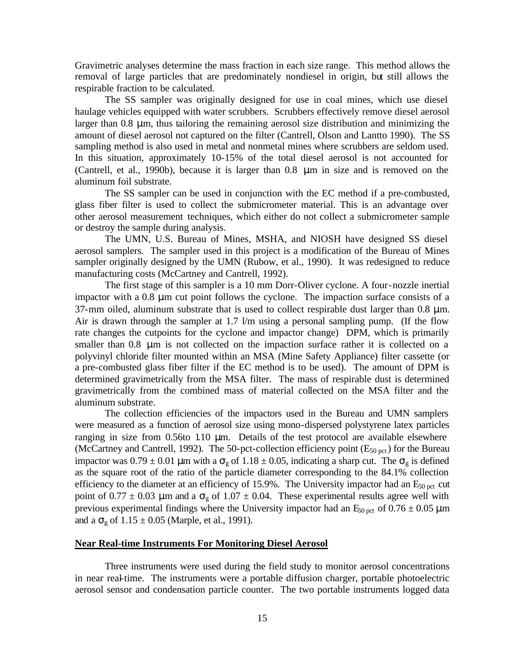Gravimetric analyses determine the mass fraction in each size range. This method allows the removal of large particles that are predominately nondiesel in origin, but still allows the respirable fraction to be calculated.

The SS sampler was originally designed for use in coal mines, which use diesel haulage vehicles equipped with water scrubbers. Scrubbers effectively remove diesel aerosol larger than 0.8 μm, thus tailoring the remaining aerosol size distribution and minimizing the amount of diesel aerosol not captured on the filter (Cantrell, Olson and Lantto 1990). The SS sampling method is also used in metal and nonmetal mines where scrubbers are seldom used. In this situation, approximately 10-15% of the total diesel aerosol is not accounted for (Cantrell, et al., 1990b), because it is larger than 0.8 μm in size and is removed on the aluminum foil substrate.

The SS sampler can be used in conjunction with the EC method if a pre-combusted, glass fiber filter is used to collect the submicrometer material. This is an advantage over other aerosol measurement techniques, which either do not collect a submicrometer sample or destroy the sample during analysis.

The UMN, U.S. Bureau of Mines, MSHA, and NIOSH have designed SS diesel aerosol samplers. The sampler used in this project is a modification of the Bureau of Mines sampler originally designed by the UMN (Rubow, et al., 1990). It was redesigned to reduce manufacturing costs (McCartney and Cantrell, 1992).

The first stage of this sampler is a 10 mm Dorr-Oliver cyclone. A four-nozzle inertial impactor with a 0.8 μm cut point follows the cyclone. The impaction surface consists of a  $37$ -mm oiled, aluminum substrate that is used to collect respirable dust larger than 0.8  $\mu$ m. Air is drawn through the sampler at  $1.7 \text{ Vm}$  using a personal sampling pump. (If the flow rate changes the cutpoints for the cyclone and impactor change) DPM, which is primarily smaller than 0.8 μm is not collected on the impaction surface rather it is collected on a polyvinyl chloride filter mounted within an MSA (Mine Safety Appliance) filter cassette (or a pre-combusted glass fiber filter if the EC method is to be used). The amount of DPM is determined gravimetrically from the MSA filter. The mass of respirable dust is determined gravimetrically from the combined mass of material collected on the MSA filter and the aluminum substrate.

The collection efficiencies of the impactors used in the Bureau and UMN samplers were measured as a function of aerosol size using mono-dispersed polystyrene latex particles ranging in size from 0.56to 1.10 μm. Details of the test protocol are available elsewhere (McCartney and Cantrell, 1992). The 50-pct-collection efficiency point  $(E_{50\text{ pct}})$  for the Bureau impactor was  $0.79 \pm 0.01$  μm with a  $\sigma_g$  of  $1.18 \pm 0.05$ , indicating a sharp cut. The  $\sigma_g$  is defined as the square root of the ratio of the particle diameter corresponding to the 84.1% collection efficiency to the diameter at an efficiency of 15.9%. The University impactor had an  $E_{50\text{ pct}}$  cut point of  $0.77 \pm 0.03$  µm and a  $\sigma_g$  of  $1.07 \pm 0.04$ . These experimental results agree well with previous experimental findings where the University impactor had an  $E_{50 \text{ pet}}$  of  $0.76 \pm 0.05 \text{ }\mu\text{m}$ and a  $\sigma_g$  of 1.15  $\pm$  0.05 (Marple, et al., 1991).

#### **Near Real-time Instruments For Monitoring Diesel Aerosol**

Three instruments were used during the field study to monitor aerosol concentrations in near real-time. The instruments were a portable diffusion charger, portable photoelectric aerosol sensor and condensation particle counter. The two portable instruments logged data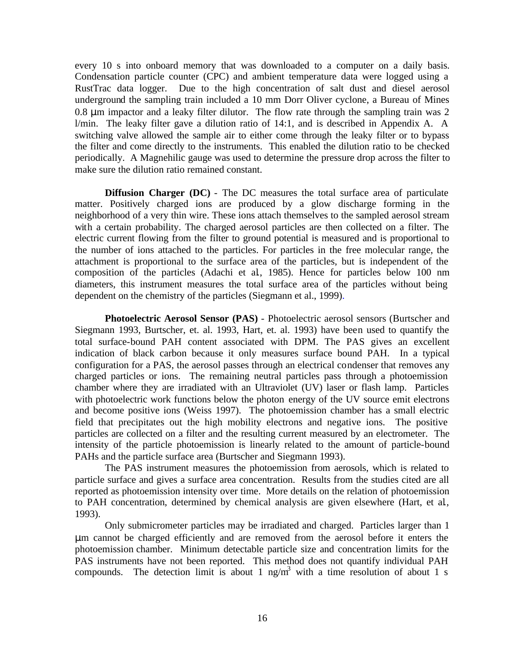every 10 s into onboard memory that was downloaded to a computer on a daily basis. Condensation particle counter (CPC) and ambient temperature data were logged using a RustTrac data logger. Due to the high concentration of salt dust and diesel aerosol underground the sampling train included a 10 mm Dorr Oliver cyclone, a Bureau of Mines 0.8 μm impactor and a leaky filter dilutor. The flow rate through the sampling train was 2 l/min. The leaky filter gave a dilution ratio of 14:1, and is described in Appendix A. A switching valve allowed the sample air to either come through the leaky filter or to bypass the filter and come directly to the instruments. This enabled the dilution ratio to be checked periodically. A Magnehilic gauge was used to determine the pressure drop across the filter to make sure the dilution ratio remained constant.

**Diffusion Charger (DC)** - The DC measures the total surface area of particulate matter. Positively charged ions are produced by a glow discharge forming in the neighborhood of a very thin wire. These ions attach themselves to the sampled aerosol stream with a certain probability. The charged aerosol particles are then collected on a filter. The electric current flowing from the filter to ground potential is measured and is proportional to the number of ions attached to the particles. For particles in the free molecular range, the attachment is proportional to the surface area of the particles, but is independent of the composition of the particles (Adachi et al*.*, 1985). Hence for particles below 100 nm diameters, this instrument measures the total surface area of the particles without being dependent on the chemistry of the particles (Siegmann et al., 1999).

**Photoelectric Aerosol Sensor (PAS)** - Photoelectric aerosol sensors (Burtscher and Siegmann 1993, Burtscher, et. al. 1993, Hart, et. al. 1993) have been used to quantify the total surface-bound PAH content associated with DPM. The PAS gives an excellent indication of black carbon because it only measures surface bound PAH. In a typical configuration for a PAS, the aerosol passes through an electrical condenser that removes any charged particles or ions. The remaining neutral particles pass through a photoemission chamber where they are irradiated with an Ultraviolet (UV) laser or flash lamp. Particles with photoelectric work functions below the photon energy of the UV source emit electrons and become positive ions (Weiss 1997). The photoemission chamber has a small electric field that precipitates out the high mobility electrons and negative ions. The positive particles are collected on a filter and the resulting current measured by an electrometer. The intensity of the particle photoemission is linearly related to the amount of particle-bound PAHs and the particle surface area (Burtscher and Siegmann 1993).

The PAS instrument measures the photoemission from aerosols, which is related to particle surface and gives a surface area concentration. Results from the studies cited are all reported as photoemission intensity over time. More details on the relation of photoemission to PAH concentration, determined by chemical analysis are given elsewhere (Hart, et al*.*, 1993).

Only submicrometer particles may be irradiated and charged. Particles larger than 1 μm cannot be charged efficiently and are removed from the aerosol before it enters the photoemission chamber. Minimum detectable particle size and concentration limits for the PAS instruments have not been reported. This method does not quantify individual PAH compounds. The detection limit is about 1  $\frac{1}{2}$  mg/m<sup>3</sup> with a time resolution of about 1 s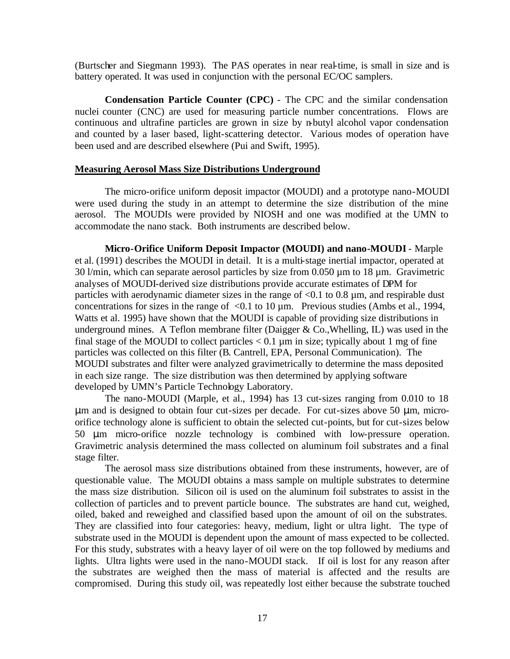(Burtscher and Siegmann 1993). The PAS operates in near real-time, is small in size and is battery operated. It was used in conjunction with the personal EC/OC samplers.

**Condensation Particle Counter (CPC)** - The CPC and the similar condensation nuclei counter (CNC) are used for measuring particle number concentrations. Flows are continuous and ultrafine particles are grown in size by n-butyl alcohol vapor condensation and counted by a laser based, light-scattering detector. Various modes of operation have been used and are described elsewhere (Pui and Swift, 1995).

## **Measuring Aerosol Mass Size Distributions Underground**

The micro-orifice uniform deposit impactor (MOUDI) and a prototype nano-MOUDI were used during the study in an attempt to determine the size distribution of the mine aerosol. The MOUDIs were provided by NIOSH and one was modified at the UMN to accommodate the nano stack. Both instruments are described below.

**Micro-Orifice Uniform Deposit Impactor (MOUDI) and nano-MOUDI** - Marple et al. (1991) describes the MOUDI in detail. It is a multi-stage inertial impactor, operated at 30 l/min, which can separate aerosol particles by size from 0.050 µm to 18 µm. Gravimetric analyses of MOUDI-derived size distributions provide accurate estimates of DPM for particles with aerodynamic diameter sizes in the range of  $< 0.1$  to 0.8  $\mu$ m, and respirable dust concentrations for sizes in the range of  $\langle 0.1 \rangle$  to 10 µm. Previous studies (Ambs et al., 1994, Watts et al. 1995) have shown that the MOUDI is capable of providing size distributions in underground mines. A Teflon membrane filter (Daigger  $\&$  Co., Whelling, IL) was used in the final stage of the MOUDI to collect particles  $< 0.1 \mu m$  in size; typically about 1 mg of fine particles was collected on this filter (B. Cantrell, EPA, Personal Communication). The MOUDI substrates and filter were analyzed gravimetrically to determine the mass deposited in each size range. The size distribution was then determined by applying software developed by UMN's Particle Technology Laboratory.

The nano-MOUDI (Marple, et al., 1994) has 13 cut-sizes ranging from 0.010 to 18 μm and is designed to obtain four cut-sizes per decade. For cut-sizes above 50 μm, microorifice technology alone is sufficient to obtain the selected cut-points, but for cut-sizes below 50 μm micro-orifice nozzle technology is combined with low-pressure operation. Gravimetric analysis determined the mass collected on aluminum foil substrates and a final stage filter.

The aerosol mass size distributions obtained from these instruments, however, are of questionable value. The MOUDI obtains a mass sample on multiple substrates to determine the mass size distribution. Silicon oil is used on the aluminum foil substrates to assist in the collection of particles and to prevent particle bounce. The substrates are hand cut, weighed, oiled, baked and reweighed and classified based upon the amount of oil on the substrates. They are classified into four categories: heavy, medium, light or ultra light. The type of substrate used in the MOUDI is dependent upon the amount of mass expected to be collected. For this study, substrates with a heavy layer of oil were on the top followed by mediums and lights. Ultra lights were used in the nano-MOUDI stack. If oil is lost for any reason after the substrates are weighed then the mass of material is affected and the results are compromised. During this study oil, was repeatedly lost either because the substrate touched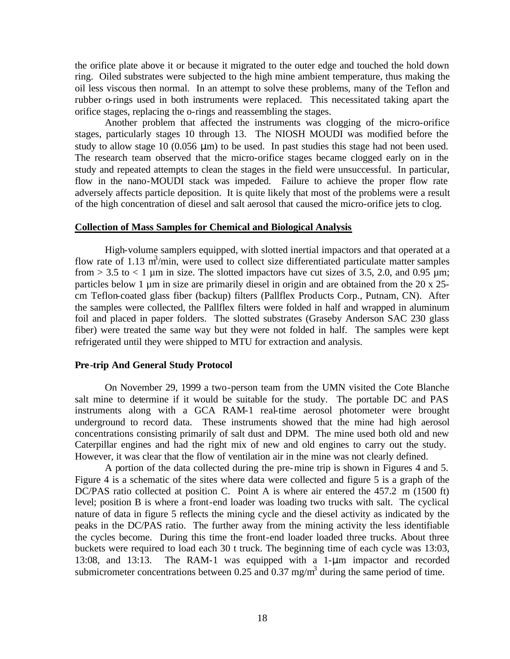the orifice plate above it or because it migrated to the outer edge and touched the hold down ring. Oiled substrates were subjected to the high mine ambient temperature, thus making the oil less viscous then normal. In an attempt to solve these problems, many of the Teflon and rubber o-rings used in both instruments were replaced. This necessitated taking apart the orifice stages, replacing the o-rings and reassembling the stages.

Another problem that affected the instruments was clogging of the micro-orifice stages, particularly stages 10 through 13. The NIOSH MOUDI was modified before the study to allow stage 10 (0.056 μm) to be used. In past studies this stage had not been used. The research team observed that the micro-orifice stages became clogged early on in the study and repeated attempts to clean the stages in the field were unsuccessful. In particular, flow in the nano-MOUDI stack was impeded. Failure to achieve the proper flow rate adversely affects particle deposition. It is quite likely that most of the problems were a result of the high concentration of diesel and salt aerosol that caused the micro-orifice jets to clog.

### **Collection of Mass Samples for Chemical and Biological Analysis**

High-volume samplers equipped, with slotted inertial impactors and that operated at a flow rate of 1.13  $m^3/m$ in, were used to collect size differentiated particulate matter samples from  $> 3.5$  to  $< 1$  µm in size. The slotted impactors have cut sizes of 3.5, 2.0, and 0.95 µm; particles below 1 µm in size are primarily diesel in origin and are obtained from the 20 x 25cm Teflon-coated glass fiber (backup) filters (Pallflex Products Corp., Putnam, CN). After the samples were collected, the Pallflex filters were folded in half and wrapped in aluminum foil and placed in paper folders. The slotted substrates (Graseby Anderson SAC 230 glass fiber) were treated the same way but they were not folded in half. The samples were kept refrigerated until they were shipped to MTU for extraction and analysis.

#### **Pre-trip And General Study Protocol**

On November 29, 1999 a two-person team from the UMN visited the Cote Blanche salt mine to determine if it would be suitable for the study. The portable DC and PAS instruments along with a GCA RAM-1 real-time aerosol photometer were brought underground to record data. These instruments showed that the mine had high aerosol concentrations consisting primarily of salt dust and DPM. The mine used both old and new Caterpillar engines and had the right mix of new and old engines to carry out the study. However, it was clear that the flow of ventilation air in the mine was not clearly defined.

A portion of the data collected during the pre-mine trip is shown in Figures 4 and 5. Figure 4 is a schematic of the sites where data were collected and figure 5 is a graph of the DC/PAS ratio collected at position C. Point A is where air entered the 457.2 m (1500 ft) level; position B is where a front-end loader was loading two trucks with salt. The cyclical nature of data in figure 5 reflects the mining cycle and the diesel activity as indicated by the peaks in the DC/PAS ratio. The further away from the mining activity the less identifiable the cycles become. During this time the front-end loader loaded three trucks. About three buckets were required to load each 30 t truck. The beginning time of each cycle was 13:03, 13:08, and 13:13. The RAM-1 was equipped with a 1-μm impactor and recorded submicrometer concentrations between 0.25 and 0.37 mg/m<sup>3</sup> during the same period of time.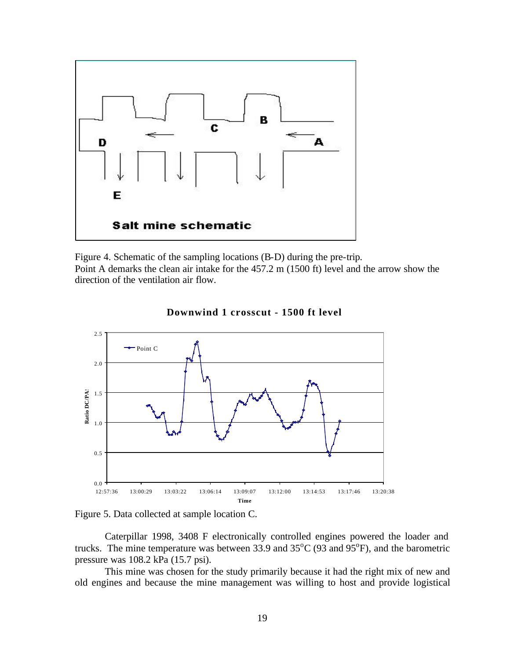

Figure 4. Schematic of the sampling locations (B-D) during the pre-trip. Point A demarks the clean air intake for the 457.2 m (1500 ft) level and the arrow show the direction of the ventilation air flow.







Caterpillar 1998, 3408 F electronically controlled engines powered the loader and trucks. The mine temperature was between 33.9 and  $35^{\circ}$ C (93 and 95 $^{\circ}$ F), and the barometric pressure was 108.2 kPa (15.7 psi).

This mine was chosen for the study primarily because it had the right mix of new and old engines and because the mine management was willing to host and provide logistical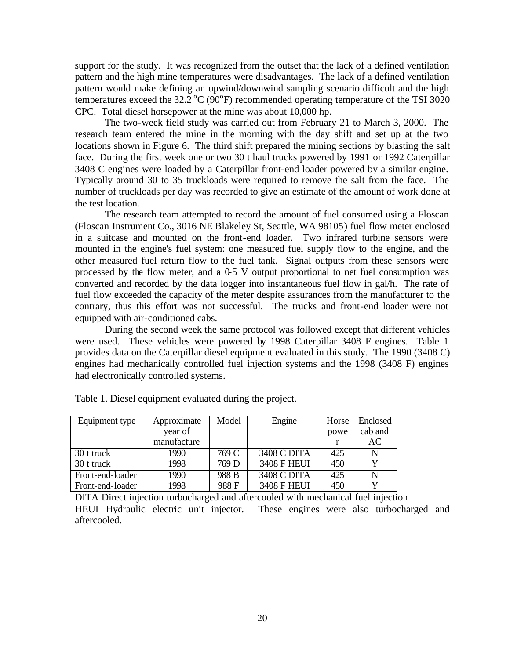support for the study. It was recognized from the outset that the lack of a defined ventilation pattern and the high mine temperatures were disadvantages. The lack of a defined ventilation pattern would make defining an upwind/downwind sampling scenario difficult and the high temperatures exceed the  $32.2^{\circ}C(90^{\circ}F)$  recommended operating temperature of the TSI 3020 CPC. Total diesel horsepower at the mine was about 10,000 hp.

The two-week field study was carried out from February 21 to March 3, 2000. The research team entered the mine in the morning with the day shift and set up at the two locations shown in Figure 6. The third shift prepared the mining sections by blasting the salt face. During the first week one or two 30 t haul trucks powered by 1991 or 1992 Caterpillar 3408 C engines were loaded by a Caterpillar front-end loader powered by a similar engine. Typically around 30 to 35 truckloads were required to remove the salt from the face. The number of truckloads per day was recorded to give an estimate of the amount of work done at the test location.

The research team attempted to record the amount of fuel consumed using a Floscan (Floscan Instrument Co., 3016 NE Blakeley St, Seattle, WA 98105) fuel flow meter enclosed in a suitcase and mounted on the front-end loader. Two infrared turbine sensors were mounted in the engine's fuel system: one measured fuel supply flow to the engine, and the other measured fuel return flow to the fuel tank. Signal outputs from these sensors were processed by the flow meter, and a 0-5 V output proportional to net fuel consumption was converted and recorded by the data logger into instantaneous fuel flow in gal/h. The rate of fuel flow exceeded the capacity of the meter despite assurances from the manufacturer to the contrary, thus this effort was not successful. The trucks and front-end loader were not equipped with air-conditioned cabs.

During the second week the same protocol was followed except that different vehicles were used. These vehicles were powered by 1998 Caterpillar 3408 F engines. Table 1 provides data on the Caterpillar diesel equipment evaluated in this study. The 1990 (3408 C) engines had mechanically controlled fuel injection systems and the 1998 (3408 F) engines had electronically controlled systems.

| Equipment type   | Approximate | Model | Engine             | Horse | Enclosed |
|------------------|-------------|-------|--------------------|-------|----------|
|                  | year of     |       |                    | powe  | cab and  |
|                  | manufacture |       |                    |       | AC       |
| 30 t truck       | 1990        | 769 C | 3408 C DITA        | 425   | N        |
| 30 t truck       | 1998        | 769 D | <b>3408 F HEUI</b> | 450   |          |
| Front-end-loader | 1990        | 988 B | 3408 C DITA        | 425   | N        |
| Front-end-loader | 1998        | 988 F | 3408 F HEUI        | 450   |          |

Table 1. Diesel equipment evaluated during the project.

DITA Direct injection turbocharged and aftercooled with mechanical fuel injection HEUI Hydraulic electric unit injector. These engines were also turbocharged and aftercooled.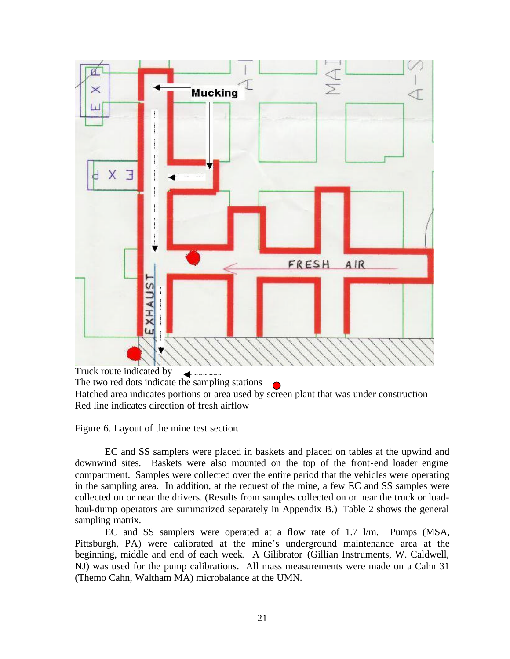

Hatched area indicates portions or area used by screen plant that was under construction Red line indicates direction of fresh airflow

Figure 6. Layout of the mine test section.

EC and SS samplers were placed in baskets and placed on tables at the upwind and downwind sites. Baskets were also mounted on the top of the front-end loader engine compartment. Samples were collected over the entire period that the vehicles were operating in the sampling area. In addition, at the request of the mine, a few EC and SS samples were collected on or near the drivers. (Results from samples collected on or near the truck or loadhaul-dump operators are summarized separately in Appendix B.) Table 2 shows the general sampling matrix.

EC and SS samplers were operated at a flow rate of 1.7 l/m. Pumps (MSA, Pittsburgh, PA) were calibrated at the mine's underground maintenance area at the beginning, middle and end of each week. A Gilibrator (Gillian Instruments, W. Caldwell, NJ) was used for the pump calibrations. All mass measurements were made on a Cahn 31 (Themo Cahn, Waltham MA) microbalance at the UMN.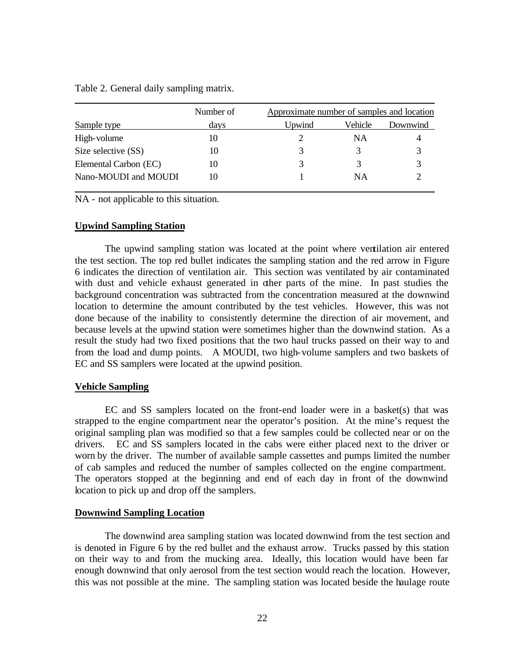|                       |      | Approximate number of samples and location |         |          |  |
|-----------------------|------|--------------------------------------------|---------|----------|--|
| Sample type           | days | Upwind                                     | Vehicle | Downwind |  |
| High-volume           | 10   |                                            | ΝA      |          |  |
| Size selective (SS)   | 10   |                                            |         |          |  |
| Elemental Carbon (EC) | 10   |                                            |         |          |  |
| Nano-MOUDI and MOUDI  | 10   |                                            | ΝA      |          |  |
|                       |      |                                            |         |          |  |

Table 2. General daily sampling matrix.

NA - not applicable to this situation.

## **Upwind Sampling Station**

The upwind sampling station was located at the point where ventilation air entered the test section. The top red bullet indicates the sampling station and the red arrow in Figure 6 indicates the direction of ventilation air. This section was ventilated by air contaminated with dust and vehicle exhaust generated in other parts of the mine. In past studies the background concentration was subtracted from the concentration measured at the downwind location to determine the amount contributed by the test vehicles. However, this was not done because of the inability to consistently determine the direction of air movement, and because levels at the upwind station were sometimes higher than the downwind station. As a result the study had two fixed positions that the two haul trucks passed on their way to and from the load and dump points. A MOUDI, two high-volume samplers and two baskets of EC and SS samplers were located at the upwind position.

## **Vehicle Sampling**

EC and SS samplers located on the front-end loader were in a basket(s) that was strapped to the engine compartment near the operator's position. At the mine's request the original sampling plan was modified so that a few samples could be collected near or on the drivers. EC and SS samplers located in the cabs were either placed next to the driver or worn by the driver. The number of available sample cassettes and pumps limited the number of cab samples and reduced the number of samples collected on the engine compartment. The operators stopped at the beginning and end of each day in front of the downwind location to pick up and drop off the samplers.

## **Downwind Sampling Location**

The downwind area sampling station was located downwind from the test section and is denoted in Figure 6 by the red bullet and the exhaust arrow. Trucks passed by this station on their way to and from the mucking area. Ideally, this location would have been far enough downwind that only aerosol from the test section would reach the location. However, this was not possible at the mine. The sampling station was located beside the haulage route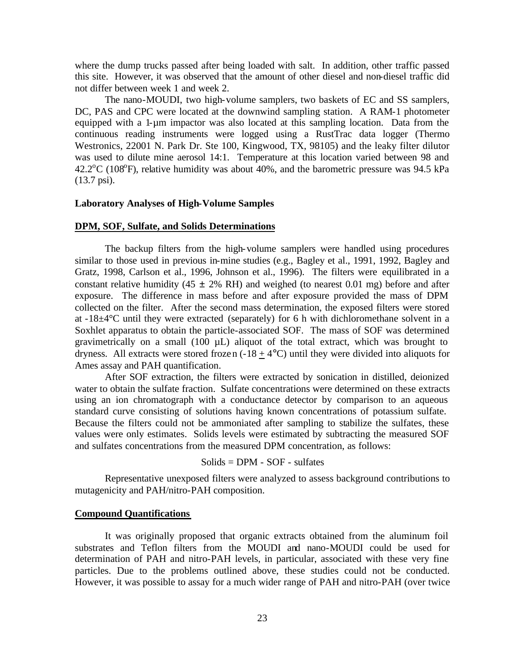where the dump trucks passed after being loaded with salt. In addition, other traffic passed this site. However, it was observed that the amount of other diesel and non-diesel traffic did not differ between week 1 and week 2.

The nano-MOUDI, two high-volume samplers, two baskets of EC and SS samplers, DC, PAS and CPC were located at the downwind sampling station. A RAM-1 photometer equipped with a 1-µm impactor was also located at this sampling location. Data from the continuous reading instruments were logged using a RustTrac data logger (Thermo Westronics, 22001 N. Park Dr. Ste 100, Kingwood, TX, 98105) and the leaky filter dilutor was used to dilute mine aerosol 14:1. Temperature at this location varied between 98 and  $42.2^{\circ}$ C (108 $^{\circ}$ F), relative humidity was about 40%, and the barometric pressure was 94.5 kPa (13.7 psi).

## **Laboratory Analyses of High-Volume Samples**

### **DPM, SOF, Sulfate, and Solids Determinations**

The backup filters from the high-volume samplers were handled using procedures similar to those used in previous in-mine studies (e.g., Bagley et al., 1991, 1992, Bagley and Gratz, 1998, Carlson et al., 1996, Johnson et al., 1996). The filters were equilibrated in a constant relative humidity (45  $\pm$  2% RH) and weighed (to nearest 0.01 mg) before and after exposure. The difference in mass before and after exposure provided the mass of DPM collected on the filter. After the second mass determination, the exposed filters were stored at -18±4°C until they were extracted (separately) for 6 h with dichloromethane solvent in a Soxhlet apparatus to obtain the particle-associated SOF. The mass of SOF was determined gravimetrically on a small (100 µL) aliquot of the total extract, which was brought to dryness. All extracts were stored frozen  $(-18 + 4^{\circ}C)$  until they were divided into aliquots for Ames assay and PAH quantification.

After SOF extraction, the filters were extracted by sonication in distilled, deionized water to obtain the sulfate fraction. Sulfate concentrations were determined on these extracts using an ion chromatograph with a conductance detector by comparison to an aqueous standard curve consisting of solutions having known concentrations of potassium sulfate. Because the filters could not be ammoniated after sampling to stabilize the sulfates, these values were only estimates. Solids levels were estimated by subtracting the measured SOF and sulfates concentrations from the measured DPM concentration, as follows:

$$
Solids = DPM - SOF - sulfates
$$

Representative unexposed filters were analyzed to assess background contributions to mutagenicity and PAH/nitro-PAH composition.

### **Compound Quantifications**

It was originally proposed that organic extracts obtained from the aluminum foil substrates and Teflon filters from the MOUDI and nano-MOUDI could be used for determination of PAH and nitro-PAH levels, in particular, associated with these very fine particles. Due to the problems outlined above, these studies could not be conducted. However, it was possible to assay for a much wider range of PAH and nitro-PAH (over twice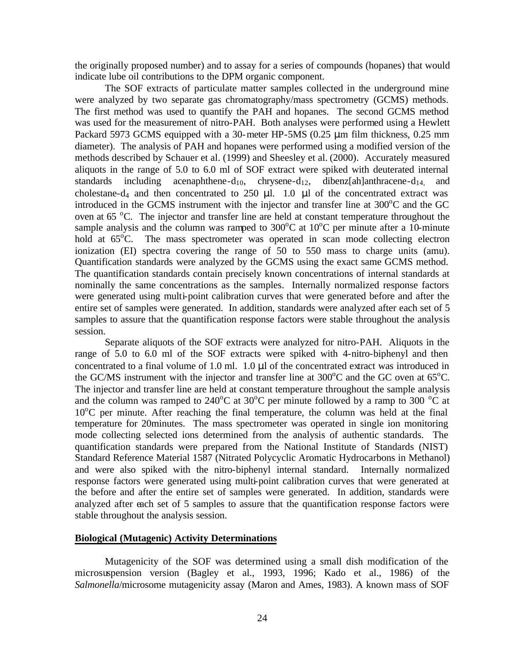the originally proposed number) and to assay for a series of compounds (hopanes) that would indicate lube oil contributions to the DPM organic component.

The SOF extracts of particulate matter samples collected in the underground mine were analyzed by two separate gas chromatography/mass spectrometry (GCMS) methods. The first method was used to quantify the PAH and hopanes. The second GCMS method was used for the measurement of nitro-PAH. Both analyses were performed using a Hewlett Packard 5973 GCMS equipped with a 30-meter HP-5MS (0.25 μm film thickness, 0.25 mm diameter). The analysis of PAH and hopanes were performed using a modified version of the methods described by Schauer et al. (1999) and Sheesley et al. (2000). Accurately measured aliquots in the range of 5.0 to 6.0 ml of SOF extract were spiked with deuterated internal standards including acenaphthene-d<sub>10</sub>, chrysene-d<sub>12</sub>, dibenz[ah]anthracene-d<sub>14</sub> and cholestane-d<sub>4</sub> and then concentrated to 250 μl. 1.0 μl of the concentrated extract was introduced in the GCMS instrument with the injector and transfer line at  $300^{\circ}$ C and the GC oven at  $65^{\circ}$ C. The injector and transfer line are held at constant temperature throughout the sample analysis and the column was ramped to  $300^{\circ}$ C at  $10^{\circ}$ C per minute after a 10-minute hold at  $65^{\circ}$ C. The mass spectrometer was operated in scan mode collecting electron ionization (EI) spectra covering the range of 50 to 550 mass to charge units (amu). Quantification standards were analyzed by the GCMS using the exact same GCMS method. The quantification standards contain precisely known concentrations of internal standards at nominally the same concentrations as the samples. Internally normalized response factors were generated using multi-point calibration curves that were generated before and after the entire set of samples were generated. In addition, standards were analyzed after each set of 5 samples to assure that the quantification response factors were stable throughout the analysis session.

Separate aliquots of the SOF extracts were analyzed for nitro-PAH. Aliquots in the range of 5.0 to 6.0 ml of the SOF extracts were spiked with 4-nitro-biphenyl and then concentrated to a final volume of 1.0 ml. 1.0 μl of the concentrated extract was introduced in the GC/MS instrument with the injector and transfer line at  $300^{\circ}$ C and the GC oven at 65 $^{\circ}$ C. The injector and transfer line are held at constant temperature throughout the sample analysis and the column was ramped to  $240^{\circ}$ C at  $30^{\circ}$ C per minute followed by a ramp to 300  $^{\circ}$ C at  $10^{\circ}$ C per minute. After reaching the final temperature, the column was held at the final temperature for 20minutes. The mass spectrometer was operated in single ion monitoring mode collecting selected ions determined from the analysis of authentic standards. The quantification standards were prepared from the National Institute of Standards (NIST) Standard Reference Material 1587 (Nitrated Polycyclic Aromatic Hydrocarbons in Methanol) and were also spiked with the nitro-biphenyl internal standard. Internally normalized response factors were generated using multi-point calibration curves that were generated at the before and after the entire set of samples were generated. In addition, standards were analyzed after each set of 5 samples to assure that the quantification response factors were stable throughout the analysis session.

#### **Biological (Mutagenic) Activity Determinations**

Mutagenicity of the SOF was determined using a small dish modification of the microsuspension version (Bagley et al., 1993, 1996; Kado et al., 1986) of the *Salmonella*/microsome mutagenicity assay (Maron and Ames, 1983). A known mass of SOF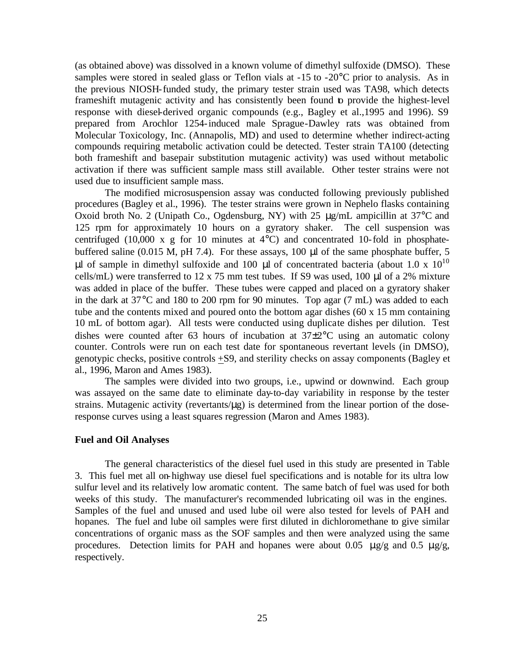(as obtained above) was dissolved in a known volume of dimethyl sulfoxide (DMSO). These samples were stored in sealed glass or Teflon vials at -15 to -20°C prior to analysis. As in the previous NIOSH-funded study, the primary tester strain used was TA98, which detects frameshift mutagenic activity and has consistently been found to provide the highest-level response with diesel-derived organic compounds (e.g., Bagley et al.,1995 and 1996). S9 prepared from Arochlor 1254-induced male Sprague-Dawley rats was obtained from Molecular Toxicology, Inc. (Annapolis, MD) and used to determine whether indirect-acting compounds requiring metabolic activation could be detected. Tester strain TA100 (detecting both frameshift and basepair substitution mutagenic activity) was used without metabolic activation if there was sufficient sample mass still available. Other tester strains were not used due to insufficient sample mass.

The modified microsuspension assay was conducted following previously published procedures (Bagley et al., 1996). The tester strains were grown in Nephelo flasks containing Oxoid broth No. 2 (Unipath Co., Ogdensburg, NY) with 25 μg/mL ampicillin at 37°C and 125 rpm for approximately 10 hours on a gyratory shaker. The cell suspension was centrifuged (10,000 x g for 10 minutes at 4°C) and concentrated 10-fold in phosphatebuffered saline (0.015 M, pH 7.4). For these assays, 100 μl of the same phosphate buffer, 5 μl of sample in dimethyl sulfoxide and 100 μl of concentrated bacteria (about 1.0 x  $10^{10}$ cells/mL) were transferred to 12 x 75 mm test tubes. If S9 was used, 100 μl of a 2% mixture was added in place of the buffer. These tubes were capped and placed on a gyratory shaker in the dark at 37°C and 180 to 200 rpm for 90 minutes. Top agar (7 mL) was added to each tube and the contents mixed and poured onto the bottom agar dishes (60 x 15 mm containing 10 mL of bottom agar). All tests were conducted using duplicate dishes per dilution. Test dishes were counted after 63 hours of incubation at  $37\pm2$ °C using an automatic colony counter. Controls were run on each test date for spontaneous revertant levels (in DMSO), genotypic checks, positive controls +S9, and sterility checks on assay components (Bagley et al., 1996, Maron and Ames 1983).

The samples were divided into two groups, i.e., upwind or downwind. Each group was assayed on the same date to eliminate day-to-day variability in response by the tester strains. Mutagenic activity (revertants/μg) is determined from the linear portion of the doseresponse curves using a least squares regression (Maron and Ames 1983).

## **Fuel and Oil Analyses**

The general characteristics of the diesel fuel used in this study are presented in Table 3. This fuel met all on-highway use diesel fuel specifications and is notable for its ultra low sulfur level and its relatively low aromatic content. The same batch of fuel was used for both weeks of this study. The manufacturer's recommended lubricating oil was in the engines. Samples of the fuel and unused and used lube oil were also tested for levels of PAH and hopanes. The fuel and lube oil samples were first diluted in dichloromethane to give similar concentrations of organic mass as the SOF samples and then were analyzed using the same procedures. Detection limits for PAH and hopanes were about 0.05  $\mu$ g/g and 0.5  $\mu$ g/g, respectively.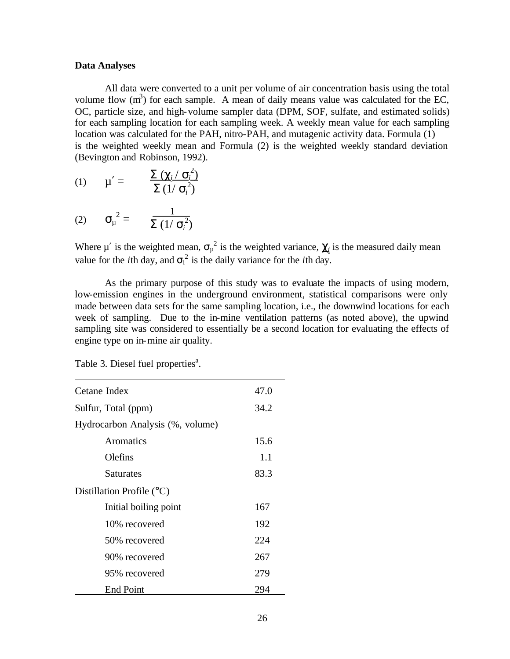## **Data Analyses**

All data were converted to a unit per volume of air concentration basis using the total volume flow  $(m^3)$  for each sample. A mean of daily means value was calculated for the EC, OC, particle size, and high-volume sampler data (DPM, SOF, sulfate, and estimated solids) for each sampling location for each sampling week. A weekly mean value for each sampling location was calculated for the PAH, nitro-PAH, and mutagenic activity data. Formula (1) is the weighted weekly mean and Formula (2) is the weighted weekly standard deviation (Bevington and Robinson, 1992).

(1) 
$$
\mu' = \frac{\sum (\chi_i / \sigma_i^2)}{\sum (1 / \sigma_i^2)}
$$

$$
(2) \qquad {\sigma_\mu}^2 = \qquad \frac{1}{\sum (1/\sigma_i^2)}
$$

Where  $\mu'$  is the weighted mean,  $\sigma_{\mu}^{2}$  is the weighted variance,  $\chi_{i}$  is the measured daily mean value for the *i*th day, and  $\sigma_i^2$  is the daily variance for the *i*th day.

As the primary purpose of this study was to evaluate the impacts of using modern, low-emission engines in the underground environment, statistical comparisons were only made between data sets for the same sampling location, i.e., the downwind locations for each week of sampling. Due to the in-mine ventilation patterns (as noted above), the upwind sampling site was considered to essentially be a second location for evaluating the effects of engine type on in-mine air quality.

| Cetane Index                       | 47.0 |
|------------------------------------|------|
| Sulfur, Total (ppm)                |      |
| Hydrocarbon Analysis (%, volume)   |      |
| Aromatics                          | 15.6 |
| Olefins                            | 1.1  |
| Saturates                          | 83.3 |
| Distillation Profile $(^{\circ}C)$ |      |
| Initial boiling point              | 167  |
| 10% recovered                      | 192  |
| 50% recovered                      | 224  |
| 90% recovered                      | 267  |
| 95% recovered                      | 279  |
| <b>End Point</b>                   | 294  |

Table 3. Diesel fuel properties<sup>a</sup>.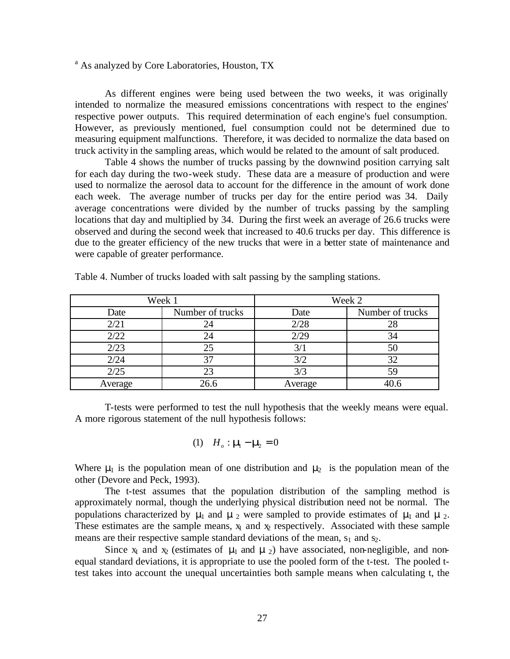<sup>a</sup> As analyzed by Core Laboratories, Houston, TX

As different engines were being used between the two weeks, it was originally intended to normalize the measured emissions concentrations with respect to the engines' respective power outputs. This required determination of each engine's fuel consumption. However, as previously mentioned, fuel consumption could not be determined due to measuring equipment malfunctions. Therefore, it was decided to normalize the data based on truck activity in the sampling areas, which would be related to the amount of salt produced.

Table 4 shows the number of trucks passing by the downwind position carrying salt for each day during the two-week study. These data are a measure of production and were used to normalize the aerosol data to account for the difference in the amount of work done each week. The average number of trucks per day for the entire period was 34. Daily average concentrations were divided by the number of trucks passing by the sampling locations that day and multiplied by 34. During the first week an average of 26.6 trucks were observed and during the second week that increased to 40.6 trucks per day. This difference is due to the greater efficiency of the new trucks that were in a better state of maintenance and were capable of greater performance.

| Week 1  |                  | Week 2  |                  |  |
|---------|------------------|---------|------------------|--|
| Date    | Number of trucks | Date    | Number of trucks |  |
| 2/21    | 24               | 2/28    | 28               |  |
| 2/22    | 24               | 2/29    | 34               |  |
| 2/23    | 25               | 3/1     | 50               |  |
| 2/24    | 37               | 3/2     | 32               |  |
| 2/25    | 23               | 3/3     |                  |  |
| Average | 26.6             | Average | 40.6             |  |

Table 4. Number of trucks loaded with salt passing by the sampling stations.

T-tests were performed to test the null hypothesis that the weekly means were equal. A more rigorous statement of the null hypothesis follows:

$$
(1) \quad H_o: \mathbf{m} - \mathbf{m} = 0
$$

Where  $\mu_1$  is the population mean of one distribution and  $\mu_2$  is the population mean of the other (Devore and Peck, 1993).

The t-test assumes that the population distribution of the sampling method is approximately normal, though the underlying physical distribution need not be normal. The populations characterized by  $\mu_1$  and  $\mu_2$  were sampled to provide estimates of  $\mu_1$  and  $\mu_2$ . These estimates are the sample means,  $x_1$  and  $x_2$  respectively. Associated with these sample means are their respective sample standard deviations of the mean,  $s_1$  and  $s_2$ .

Since  $x_1$  and  $x_2$  (estimates of  $\mu_1$  and  $\mu_2$ ) have associated, non-negligible, and nonequal standard deviations, it is appropriate to use the pooled form of the t-test. The pooled ttest takes into account the unequal uncertainties both sample means when calculating t, the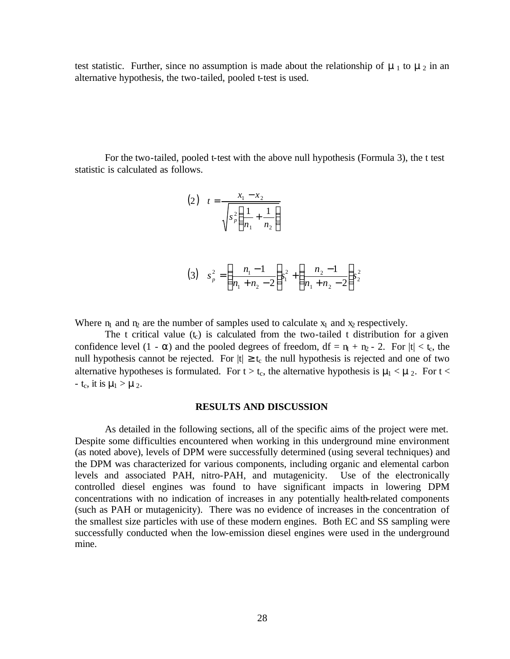test statistic. Further, since no assumption is made about the relationship of  $\mu_1$  to  $\mu_2$  in an alternative hypothesis, the two-tailed, pooled t-test is used.

For the two-tailed, pooled t-test with the above null hypothesis (Formula 3), the t test statistic is calculated as follows.

$$
(2) \t t = \frac{x_1 - x_2}{\sqrt{s_p^2 \left(\frac{1}{n_1} + \frac{1}{n_2}\right)}}
$$

$$
(3) \quad s_p^2 = \left(\frac{n_1 - 1}{n_1 + n_2 - 2}\right) s_1^2 + \left(\frac{n_2 - 1}{n_1 + n_2 - 2}\right) s_2^2
$$

Where  $n_1$  and  $n_2$  are the number of samples used to calculate  $x_1$  and  $x_2$  respectively.

The t critical value  $(t<sub>c</sub>)$  is calculated from the two-tailed t distribution for a given confidence level  $(1 - \alpha)$  and the pooled degrees of freedom,  $df = n_1 + n_2 - 2$ . For  $|t| < t_c$ , the null hypothesis cannot be rejected. For  $|t| \ge t_c$  the null hypothesis is rejected and one of two alternative hypotheses is formulated. For  $t > t_c$ , the alternative hypothesis is  $\mu_1 < \mu_2$ . For  $t <$ - t<sub>c</sub>, it is  $\mu_1 > \mu_2$ .

#### **RESULTS AND DISCUSSION**

As detailed in the following sections, all of the specific aims of the project were met. Despite some difficulties encountered when working in this underground mine environment (as noted above), levels of DPM were successfully determined (using several techniques) and the DPM was characterized for various components, including organic and elemental carbon levels and associated PAH, nitro-PAH, and mutagenicity. Use of the electronically controlled diesel engines was found to have significant impacts in lowering DPM concentrations with no indication of increases in any potentially health-related components (such as PAH or mutagenicity). There was no evidence of increases in the concentration of the smallest size particles with use of these modern engines. Both EC and SS sampling were successfully conducted when the low-emission diesel engines were used in the underground mine.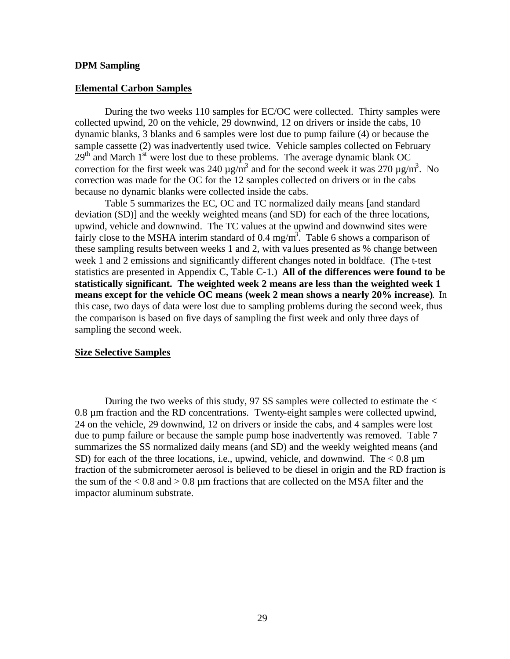## **DPM Sampling**

## **Elemental Carbon Samples**

During the two weeks 110 samples for EC/OC were collected. Thirty samples were collected upwind, 20 on the vehicle, 29 downwind, 12 on drivers or inside the cabs, 10 dynamic blanks, 3 blanks and 6 samples were lost due to pump failure (4) or because the sample cassette (2) was inadvertently used twice. Vehicle samples collected on February  $29<sup>th</sup>$  and March 1<sup>st</sup> were lost due to these problems. The average dynamic blank OC correction for the first week was 240  $\mu$ g/m<sup>3</sup> and for the second week it was 270  $\mu$ g/m<sup>3</sup>. No correction was made for the OC for the 12 samples collected on drivers or in the cabs because no dynamic blanks were collected inside the cabs.

Table 5 summarizes the EC, OC and TC normalized daily means [and standard deviation (SD)] and the weekly weighted means (and SD) for each of the three locations, upwind, vehicle and downwind. The TC values at the upwind and downwind sites were fairly close to the MSHA interim standard of 0.4 mg/m<sup>3</sup>. Table 6 shows a comparison of these sampling results between weeks 1 and 2, with va lues presented as % change between week 1 and 2 emissions and significantly different changes noted in boldface. (The t-test statistics are presented in Appendix C, Table C-1.) **All of the differences were found to be statistically significant. The weighted week 2 means are less than the weighted week 1 means except for the vehicle OC means (week 2 mean shows a nearly 20% increase)**. In this case, two days of data were lost due to sampling problems during the second week, thus the comparison is based on five days of sampling the first week and only three days of sampling the second week.

### **Size Selective Samples**

During the two weeks of this study, 97 SS samples were collected to estimate the < 0.8 µm fraction and the RD concentrations. Twenty-eight sample s were collected upwind, 24 on the vehicle, 29 downwind, 12 on drivers or inside the cabs, and 4 samples were lost due to pump failure or because the sample pump hose inadvertently was removed. Table 7 summarizes the SS normalized daily means (and SD) and the weekly weighted means (and SD) for each of the three locations, i.e., upwind, vehicle, and downwind. The  $< 0.8 \mu m$ fraction of the submicrometer aerosol is believed to be diesel in origin and the RD fraction is the sum of the  $< 0.8$  and  $> 0.8$  µm fractions that are collected on the MSA filter and the impactor aluminum substrate.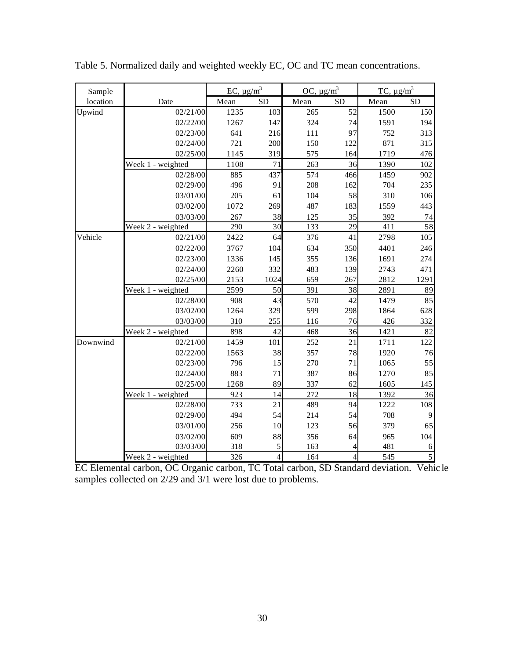| Sample   |                   | $EC, \mu g/m^3$ |                | OC, $\mu$ g/m <sup>3</sup> |                | TC, $\mu$ g/m <sup>3</sup> |           |
|----------|-------------------|-----------------|----------------|----------------------------|----------------|----------------------------|-----------|
| location | Date              | Mean            | <b>SD</b>      | Mean                       | <b>SD</b>      | Mean                       | <b>SD</b> |
| Upwind   | 02/21/00          | 1235            | 103            | 265                        | 52             | 1500                       | 150       |
|          | 02/22/00          | 1267            | 147            | 324                        | 74             | 1591                       | 194       |
|          | 02/23/00          | 641             | 216            | 111                        | 97             | 752                        | 313       |
|          | 02/24/00          | 721             | 200            | 150                        | 122            | 871                        | 315       |
|          | 02/25/00          | 1145            | 319            | 575                        | 164            | 1719                       | 476       |
|          | Week 1 - weighted | 1108            | 71             | 263                        | 36             | 1390                       | 102       |
|          | 02/28/00          | 885             | 437            | 574                        | 466            | 1459                       | 902       |
|          | 02/29/00          | 496             | 91             | 208                        | 162            | 704                        | 235       |
|          | 03/01/00          | 205             | 61             | 104                        | 58             | 310                        | 106       |
|          | 03/02/00          | 1072            | 269            | 487                        | 183            | 1559                       | 443       |
|          | 03/03/00          | 267             | 38             | 125                        | 35             | 392                        | 74        |
|          | Week 2 - weighted | 290             | 30             | 133                        | 29             | 411                        | 58        |
| Vehicle  | 02/21/00          | 2422            | 64             | 376                        | 41             | 2798                       | 105       |
|          | 02/22/00          | 3767            | 104            | 634                        | 350            | 4401                       | 246       |
|          | 02/23/00          | 1336            | 145            | 355                        | 136            | 1691                       | 274       |
|          | 02/24/00          | 2260            | 332            | 483                        | 139            | 2743                       | 471       |
|          | 02/25/00          | 2153            | 1024           | 659                        | 267            | 2812                       | 1291      |
|          | Week 1 - weighted | 2599            | 50             | 391                        | 38             | 2891                       | 89        |
|          | 02/28/00          | 908             | 43             | 570                        | 42             | 1479                       | 85        |
|          | 03/02/00          | 1264            | 329            | 599                        | 298            | 1864                       | 628       |
|          | 03/03/00          | 310             | 255            | 116                        | 76             | 426                        | 332       |
|          | Week 2 - weighted | 898             | 42             | 468                        | 36             | 1421                       | 82        |
| Downwind | 02/21/00          | 1459            | 101            | 252                        | 21             | 1711                       | 122       |
|          | 02/22/00          | 1563            | 38             | 357                        | 78             | 1920                       | 76        |
|          | 02/23/00          | 796             | 15             | 270                        | 71             | 1065                       | 55        |
|          | 02/24/00          | 883             | 71             | 387                        | 86             | 1270                       | 85        |
|          | 02/25/00          | 1268            | 89             | 337                        | 62             | 1605                       | 145       |
|          | Week 1 - weighted | 923             | 14             | 272                        | 18             | 1392                       | 36        |
|          | 02/28/00          | 733             | 21             | 489                        | 94             | 1222                       | 108       |
|          | 02/29/00          | 494             | 54             | 214                        | 54             | 708                        | 9         |
|          | 03/01/00          | 256             | 10             | 123                        | 56             | 379                        | 65        |
|          | 03/02/00          | 609             | 88             | 356                        | 64             | 965                        | 104       |
|          | 03/03/00          | 318             | 5              | 163                        | $\overline{4}$ | 481                        | 6         |
|          | Week 2 - weighted | 326             | $\overline{4}$ | 164                        | $\overline{4}$ | 545                        | 5         |

Table 5. Normalized daily and weighted weekly EC, OC and TC mean concentrations.

EC Elemental carbon, OC Organic carbon, TC Total carbon, SD Standard deviation. Vehic le samples collected on 2/29 and 3/1 were lost due to problems.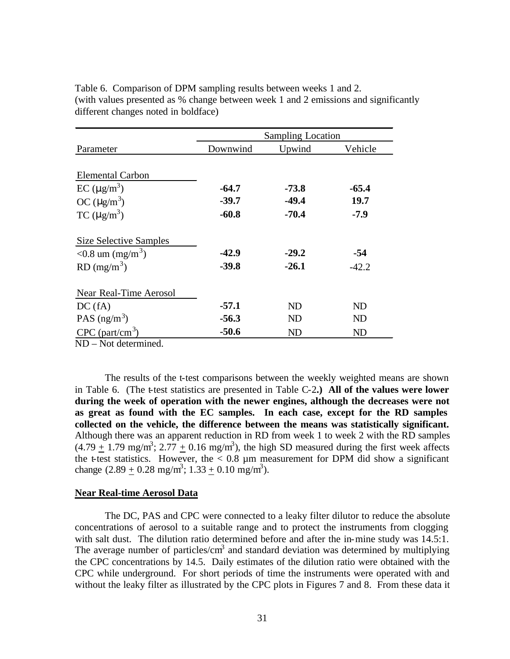|                               | <b>Sampling Location</b> |           |         |  |  |
|-------------------------------|--------------------------|-----------|---------|--|--|
| Parameter                     | Downwind                 | Upwind    | Vehicle |  |  |
|                               |                          |           |         |  |  |
| <b>Elemental Carbon</b>       |                          |           |         |  |  |
| EC $(\mu g/m^3)$              | $-64.7$                  | $-73.8$   | $-65.4$ |  |  |
| OC $(\mu g/m^3)$              | $-39.7$                  | $-49.4$   | 19.7    |  |  |
| TC $(\mu \text{g/m}^3)$       | $-60.8$                  | $-70.4$   | $-7.9$  |  |  |
| <b>Size Selective Samples</b> |                          |           |         |  |  |
| <0.8 um $(mg/m^3)$            | -42.9                    | $-29.2$   | -54     |  |  |
| RD $(mg/m^3)$                 | $-39.8$                  | $-26.1$   | $-42.2$ |  |  |
| Near Real-Time Aerosol        |                          |           |         |  |  |
| DC(fA)                        | $-57.1$                  | ND        | ND      |  |  |
| PAS $(ng/m^3)$                | $-56.3$                  | ND        | ND      |  |  |
| $CPC$ (part/cm <sup>3</sup> ) | $-50.6$                  | <b>ND</b> | ND      |  |  |

Table 6. Comparison of DPM sampling results between weeks 1 and 2. (with values presented as % change between week 1 and 2 emissions and significantly different changes noted in boldface)

ND – Not determined.

The results of the t-test comparisons between the weekly weighted means are shown in Table 6. (The t-test statistics are presented in Table C-2**.) All of the values were lower during the week of operation with the newer engines, although the decreases were not as great as found with the EC samples. In each case, except for the RD samples collected on the vehicle, the difference between the means was statistically significant.** Although there was an apparent reduction in RD from week 1 to week 2 with the RD samples  $(4.79 + 1.79 \text{ mg/m}^3; 2.77 + 0.16 \text{ mg/m}^3)$ , the high SD measured during the first week affects the t-test statistics. However, the  $\lt 0.8$  µm measurement for DPM did show a significant change  $(2.89 \pm 0.28 \text{ mg/m}^3; 1.33 \pm 0.10 \text{ mg/m}^3)$ .

### **Near Real-time Aerosol Data**

The DC, PAS and CPC were connected to a leaky filter dilutor to reduce the absolute concentrations of aerosol to a suitable range and to protect the instruments from clogging with salt dust. The dilution ratio determined before and after the in-mine study was 14.5:1. The average number of particles/ $cm<sup>3</sup>$  and standard deviation was determined by multiplying the CPC concentrations by 14.5. Daily estimates of the dilution ratio were obtained with the CPC while underground. For short periods of time the instruments were operated with and without the leaky filter as illustrated by the CPC plots in Figures 7 and 8. From these data it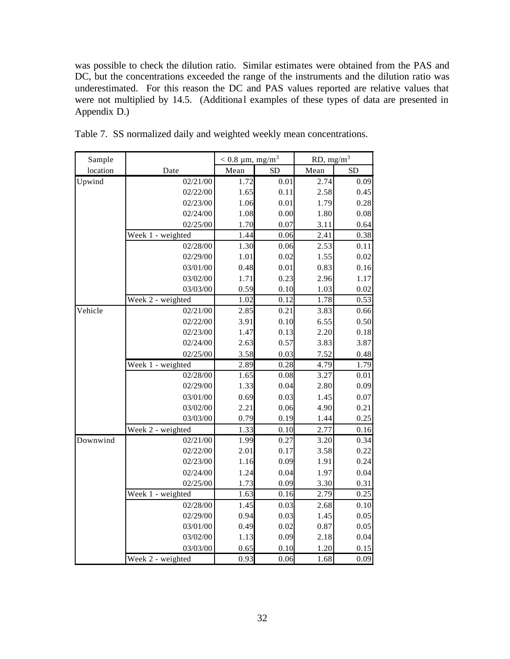was possible to check the dilution ratio. Similar estimates were obtained from the PAS and DC, but the concentrations exceeded the range of the instruments and the dilution ratio was underestimated. For this reason the DC and PAS values reported are relative values that were not multiplied by 14.5. (Additional examples of these types of data are presented in Appendix D.)

| Sample   |                   | $< 0.8 \mu m$ , mg/m <sup>3</sup> |           | RD, $mg/m^3$ |           |
|----------|-------------------|-----------------------------------|-----------|--------------|-----------|
| location | Date              | Mean                              | <b>SD</b> | Mean         | <b>SD</b> |
| Upwind   | 02/21/00          | 1.72                              | 0.01      | 2.74         | 0.09      |
|          | 02/22/00          | 1.65                              | 0.11      | 2.58         | 0.45      |
|          | 02/23/00          | 1.06                              | 0.01      | 1.79         | 0.28      |
|          | 02/24/00          | 1.08                              | 0.00      | 1.80         | 0.08      |
|          | 02/25/00          | 1.70                              | 0.07      | 3.11         | 0.64      |
|          | Week 1 - weighted | 1.44                              | 0.06      | 2.41         | 0.38      |
|          | 02/28/00          | 1.30                              | 0.06      | 2.53         | 0.11      |
|          | 02/29/00          | 1.01                              | 0.02      | 1.55         | 0.02      |
|          | 03/01/00          | 0.48                              | 0.01      | 0.83         | 0.16      |
|          | 03/02/00          | 1.71                              | 0.23      | 2.96         | 1.17      |
|          | 03/03/00          | 0.59                              | 0.10      | 1.03         | 0.02      |
|          | Week 2 - weighted | 1.02                              | 0.12      | 1.78         | 0.53      |
| Vehicle  | 02/21/00          | 2.85                              | 0.21      | 3.83         | 0.66      |
|          | 02/22/00          | 3.91                              | 0.10      | 6.55         | 0.50      |
|          | 02/23/00          | 1.47                              | 0.13      | 2.20         | 0.18      |
|          | 02/24/00          | 2.63                              | 0.57      | 3.83         | 3.87      |
|          | 02/25/00          | 3.58                              | 0.03      | 7.52         | 0.48      |
|          | Week 1 - weighted | 2.89                              | 0.28      | 4.79         | 1.79      |
|          | 02/28/00          | 1.65                              | 0.08      | 3.27         | 0.01      |
|          | 02/29/00          | 1.33                              | 0.04      | 2.80         | 0.09      |
|          | 03/01/00          | 0.69                              | 0.03      | 1.45         | 0.07      |
|          | 03/02/00          | 2.21                              | 0.06      | 4.90         | 0.21      |
|          | 03/03/00          | 0.79                              | 0.19      | 1.44         | 0.25      |
|          | Week 2 - weighted | 1.33                              | 0.10      | 2.77         | 0.16      |
| Downwind | 02/21/00          | 1.99                              | 0.27      | 3.20         | 0.34      |
|          | 02/22/00          | 2.01                              | 0.17      | 3.58         | 0.22      |
|          | 02/23/00          | 1.16                              | 0.09      | 1.91         | 0.24      |
|          | 02/24/00          | 1.24                              | 0.04      | 1.97         | 0.04      |
|          | 02/25/00          | 1.73                              | 0.09      | 3.30         | 0.31      |
|          | Week 1 - weighted | 1.63                              | 0.16      | 2.79         | 0.25      |
|          | 02/28/00          | 1.45                              | 0.03      | 2.68         | 0.10      |
|          | 02/29/00          | 0.94                              | 0.03      | 1.45         | 0.05      |
|          | 03/01/00          | 0.49                              | 0.02      | 0.87         | 0.05      |
|          | 03/02/00          | 1.13                              | 0.09      | 2.18         | 0.04      |
|          | 03/03/00          | 0.65                              | 0.10      | 1.20         | 0.15      |
|          | Week 2 - weighted | 0.93                              | 0.06      | 1.68         | 0.09      |

Table 7. SS normalized daily and weighted weekly mean concentrations.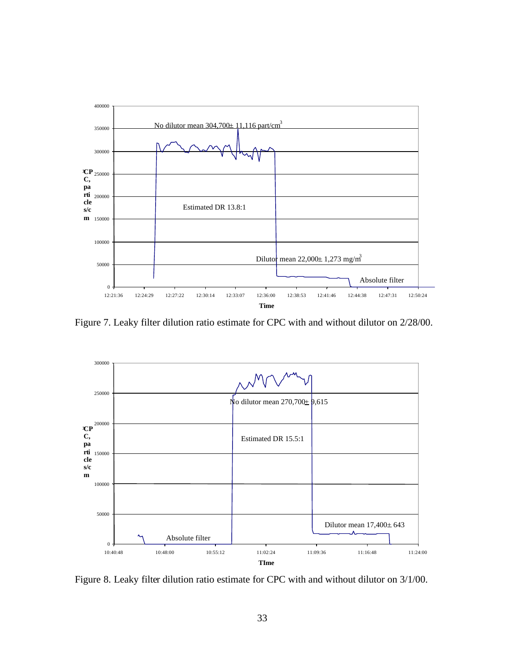

Figure 7. Leaky filter dilution ratio estimate for CPC with and without dilutor on 2/28/00.



Figure 8. Leaky filter dilution ratio estimate for CPC with and without dilutor on 3/1/00.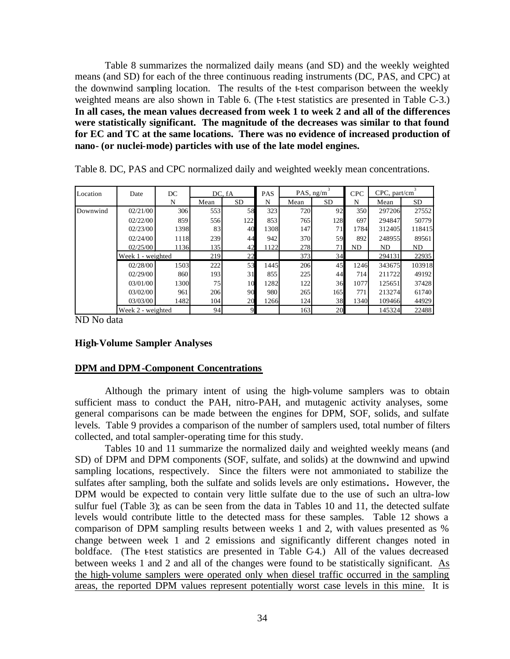Table 8 summarizes the normalized daily means (and SD) and the weekly weighted means (and SD) for each of the three continuous reading instruments (DC, PAS, and CPC) at the downwind sampling location. The results of the t-test comparison between the weekly weighted means are also shown in Table 6. (The t-test statistics are presented in Table C-3.) **In all cases, the mean values decreased from week 1 to week 2 and all of the differences were statistically significant. The magnitude of the decreases was similar to that found for EC and TC at the same locations. There was no evidence of increased production of nano- (or nuclei-mode) particles with use of the late model engines.** 

| Location | Date              | DC   | DC. fA |           | <b>PAS</b> |      | PAS, ng/m $^3$ |      | CPC, part/cm |        |
|----------|-------------------|------|--------|-----------|------------|------|----------------|------|--------------|--------|
|          |                   | N    | Mean   | <b>SD</b> | N          | Mean | <b>SD</b>      | N    | Mean         | SD.    |
| Downwind | 02/21/00          | 306  | 553    | 58        | 323        | 720  | 92             | 350  | 297206       | 27552  |
|          | 02/22/00          | 859  | 556    | 122       | 853        | 765  | 128            | 697  | 294847       | 50779  |
|          | 02/23/00          | 1398 | 83     | 40        | 1308       | 147  | 71             | 1784 | 312405       | 118415 |
|          | 02/24/00          | 1118 | 239    | 44        | 942        | 370  | 59             | 892  | 248955       | 89561  |
|          | 02/25/00          | 1136 | 135    | 42        | 1122       | 278  | 71             | ND   | ND           | ND     |
|          | Week 1 - weighted |      | 219    | 22        |            | 373  | 34             |      | 294131       | 22935  |
|          | 02/28/00          | 1503 | 222    | 53        | 1445       | 206  | 45             | 1246 | 343675       | 103918 |
|          | 02/29/00          | 860  | 193    | 31        | 855        | 225  | 44             | 714  | 211722       | 49192  |
|          | 03/01/00          | 1300 | 75     | 10        | 1282       | 122  | 36             | 1077 | 125651       | 37428  |
|          | 03/02/00          | 961  | 206    | 90        | 980        | 265  | 165            | 771  | 213274       | 61740  |
|          | 03/03/00          | 1482 | 104    | 20        | 1266       | 124  | 38             | 1340 | 109466       | 44929  |
|          | Week 2 - weighted |      | 94     |           |            | 163  | 20             |      | 145324       | 22488  |

Table 8. DC, PAS and CPC normalized daily and weighted weekly mean concentrations.

ND No data

## **High-Volume Sampler Analyses**

## **DPM and DPM-Component Concentrations**

Although the primary intent of using the high-volume samplers was to obtain sufficient mass to conduct the PAH, nitro-PAH, and mutagenic activity analyses, some general comparisons can be made between the engines for DPM, SOF, solids, and sulfate levels. Table 9 provides a comparison of the number of samplers used, total number of filters collected, and total sampler-operating time for this study.

Tables 10 and 11 summarize the normalized daily and weighted weekly means (and SD) of DPM and DPM components (SOF, sulfate, and solids) at the downwind and upwind sampling locations, respectively. Since the filters were not ammoniated to stabilize the sulfates after sampling, both the sulfate and solids levels are only estimations**.** However, the DPM would be expected to contain very little sulfate due to the use of such an ultra-low sulfur fuel (Table 3); as can be seen from the data in Tables 10 and 11, the detected sulfate levels would contribute little to the detected mass for these samples. Table 12 shows a comparison of DPM sampling results between weeks 1 and 2, with values presented as % change between week 1 and 2 emissions and significantly different changes noted in boldface. (The ttest statistics are presented in Table C-4.) All of the values decreased between weeks 1 and 2 and all of the changes were found to be statistically significant. As the high-volume samplers were operated only when diesel traffic occurred in the sampling areas, the reported DPM values represent potentially worst case levels in this mine. It is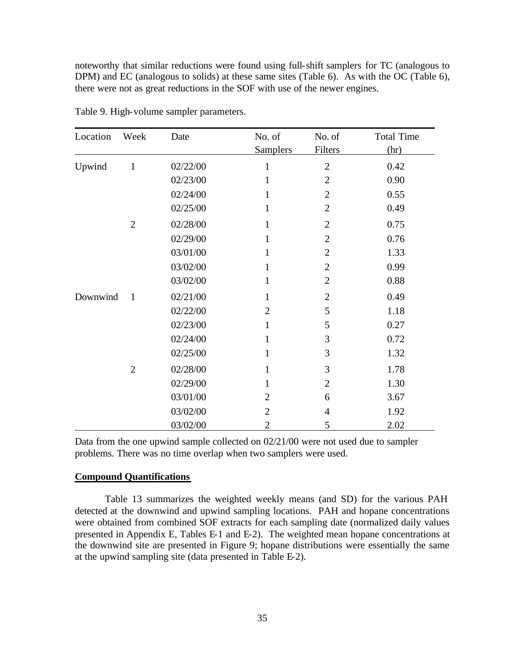noteworthy that similar reductions were found using full-shift samplers for TC (analogous to DPM) and EC (analogous to solids) at these same sites (Table 6). As with the OC (Table 6), there were not as great reductions in the SOF with use of the newer engines.

| Location | Week           | Date     | No. of         | No. of         | <b>Total Time</b> |
|----------|----------------|----------|----------------|----------------|-------------------|
|          |                |          | Samplers       | Filters        | (hr)              |
| Upwind   | $\mathbf{1}$   | 02/22/00 | $\mathbf{1}$   | $\overline{2}$ | 0.42              |
|          |                | 02/23/00 | 1              | $\overline{2}$ | 0.90              |
|          |                | 02/24/00 | 1              | $\overline{2}$ | 0.55              |
|          |                | 02/25/00 | $\mathbf{1}$   | $\overline{2}$ | 0.49              |
|          | $\overline{2}$ | 02/28/00 | $\mathbf{1}$   | $\mathfrak{2}$ | 0.75              |
|          |                | 02/29/00 | $\mathbf{1}$   | $\mathfrak{2}$ | 0.76              |
|          |                | 03/01/00 | 1              | $\overline{2}$ | 1.33              |
|          |                | 03/02/00 | $\mathbf{1}$   | $\mathbf{2}$   | 0.99              |
|          |                | 03/02/00 | 1              | $\overline{2}$ | 0.88              |
| Downwind | $\mathbf{1}$   | 02/21/00 | 1              | $\overline{2}$ | 0.49              |
|          |                | 02/22/00 | $\overline{2}$ | 5              | 1.18              |
|          |                | 02/23/00 | 1              | 5              | 0.27              |
|          |                | 02/24/00 | 1              | 3              | 0.72              |
|          |                | 02/25/00 | 1              | 3              | 1.32              |
|          | $\overline{2}$ | 02/28/00 | $\mathbf{1}$   | 3              | 1.78              |
|          |                | 02/29/00 | 1              | $\overline{2}$ | 1.30              |
|          |                | 03/01/00 | $\overline{2}$ | 6              | 3.67              |
|          |                | 03/02/00 | $\overline{2}$ | $\overline{4}$ | 1.92              |
|          |                | 03/02/00 | $\overline{2}$ | 5              | 2.02              |

Table 9. High-volume sampler parameters.

Data from the one upwind sample collected on 02/21/00 were not used due to sampler problems. There was no time overlap when two samplers were used.

### **Compound Quantifications**

Table 13 summarizes the weighted weekly means (and SD) for the various PAH detected at the downwind and upwind sampling locations. PAH and hopane concentrations were obtained from combined SOF extracts for each sampling date (normalized daily values presented in Appendix E, Tables E-1 and E-2). The weighted mean hopane concentrations at the downwind site are presented in Figure 9; hopane distributions were essentially the same at the upwind sampling site (data presented in Table E-2).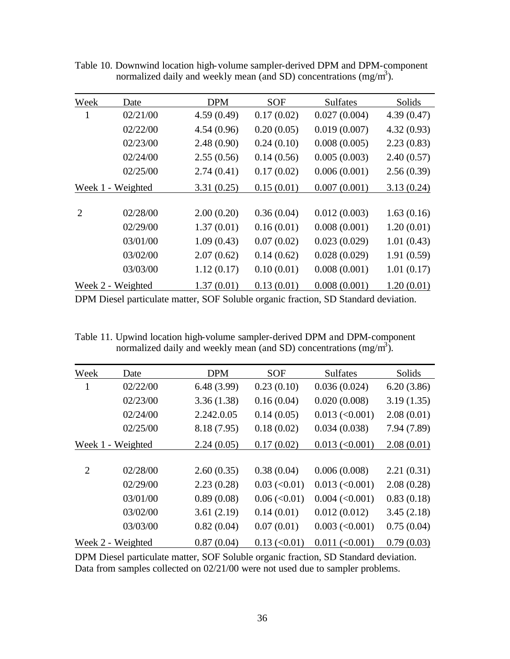| Week           | Date              | <b>DPM</b> | <b>SOF</b> | <b>Sulfates</b> | Solids     |
|----------------|-------------------|------------|------------|-----------------|------------|
| $\mathbf{1}$   | 02/21/00          | 4.59(0.49) | 0.17(0.02) | 0.027(0.004)    | 4.39(0.47) |
|                | 02/22/00          | 4.54(0.96) | 0.20(0.05) | 0.019(0.007)    | 4.32(0.93) |
|                | 02/23/00          | 2.48(0.90) | 0.24(0.10) | 0.008(0.005)    | 2.23(0.83) |
|                | 02/24/00          | 2.55(0.56) | 0.14(0.56) | 0.005(0.003)    | 2.40(0.57) |
|                | 02/25/00          | 2.74(0.41) | 0.17(0.02) | 0.006(0.001)    | 2.56(0.39) |
|                | Week 1 - Weighted | 3.31(0.25) | 0.15(0.01) | 0.007(0.001)    | 3.13(0.24) |
|                |                   |            |            |                 |            |
| $\overline{2}$ | 02/28/00          | 2.00(0.20) | 0.36(0.04) | 0.012(0.003)    | 1.63(0.16) |
|                | 02/29/00          | 1.37(0.01) | 0.16(0.01) | 0.008(0.001)    | 1.20(0.01) |
|                | 03/01/00          | 1.09(0.43) | 0.07(0.02) | 0.023(0.029)    | 1.01(0.43) |
|                | 03/02/00          | 2.07(0.62) | 0.14(0.62) | 0.028(0.029)    | 1.91(0.59) |
|                | 03/03/00          | 1.12(0.17) | 0.10(0.01) | 0.008(0.001)    | 1.01(0.17) |
|                | Week 2 - Weighted | 1.37(0.01) | 0.13(0.01) | 0.008(0.001)    | 1.20(0.01) |

Table 10. Downwind location high-volume sampler-derived DPM and DPM-component normalized daily and weekly mean (and SD) concentrations  $(mg/m<sup>3</sup>)$ .

DPM Diesel particulate matter, SOF Soluble organic fraction, SD Standard deviation.

Table 11. Upwind location high-volume sampler-derived DPM and DPM-component normalized daily and weekly mean (and SD) concentrations  $(mg/m<sup>3</sup>)$ .

| Week           | Date              | <b>DPM</b>  | <b>SOF</b>              | <b>Sulfates</b>           | Solids     |
|----------------|-------------------|-------------|-------------------------|---------------------------|------------|
| 1              | 02/22/00          | 6.48(3.99)  | 0.23(0.10)              | 0.036(0.024)              | 6.20(3.86) |
|                | 02/23/00          | 3.36(1.38)  | 0.16(0.04)              | 0.020(0.008)              | 3.19(1.35) |
|                | 02/24/00          | 2.242.0.05  | 0.14(0.05)              | $0.013 \, \text{(0.001})$ | 2.08(0.01) |
|                | 02/25/00          | 8.18 (7.95) | 0.18(0.02)              | 0.034(0.038)              | 7.94(7.89) |
|                | Week 1 - Weighted | 2.24(0.05)  | 0.17(0.02)              | $0.013$ (< $0.001$ )      | 2.08(0.01) |
|                |                   |             |                         |                           |            |
| $\overline{2}$ | 02/28/00          | 2.60(0.35)  | 0.38(0.04)              | 0.006(0.008)              | 2.21(0.31) |
|                | 02/29/00          | 2.23(0.28)  | $0.03 \, \text{(0.01})$ | $0.013 \, (\leq 0.001)$   | 2.08(0.28) |
|                | 03/01/00          | 0.89(0.08)  | $0.06 \, (\leq 0.01)$   | $0.004 \, \text{(0.001})$ | 0.83(0.18) |
|                | 03/02/00          | 3.61(2.19)  | 0.14(0.01)              | 0.012(0.012)              | 3.45(2.18) |
|                | 03/03/00          | 0.82(0.04)  | 0.07(0.01)              | $0.003$ (< $0.001$ )      | 0.75(0.04) |
|                | Week 2 - Weighted | 0.87(0.04)  | $0.13 \, (\leq 0.01)$   | $0.011 (\leq 0.001)$      | 0.79(0.03) |

DPM Diesel particulate matter, SOF Soluble organic fraction, SD Standard deviation. Data from samples collected on 02/21/00 were not used due to sampler problems.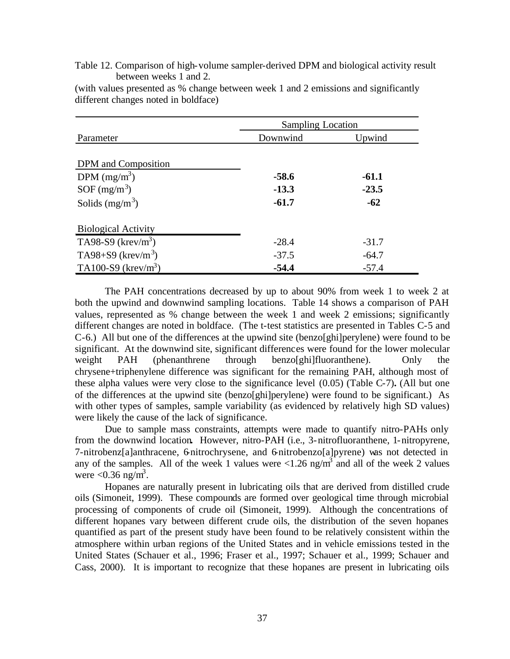Table 12. Comparison of high-volume sampler-derived DPM and biological activity result between weeks 1 and 2.

|                                | <b>Sampling Location</b> |         |  |  |
|--------------------------------|--------------------------|---------|--|--|
| Parameter                      | Downwind                 | Upwind  |  |  |
|                                |                          |         |  |  |
| DPM and Composition            |                          |         |  |  |
| DPM $(mg/m3)$                  | $-58.6$                  | $-61.1$ |  |  |
| SOF $(mg/m^3)$                 | $-13.3$                  | $-23.5$ |  |  |
| Solids $(mg/m^3)$              | $-61.7$                  | $-62$   |  |  |
|                                |                          |         |  |  |
| <b>Biological Activity</b>     |                          |         |  |  |
| TA98-S9 ( $\text{krev/m}^3$ )  | $-28.4$                  | $-31.7$ |  |  |
| TA98+S9 (krev/m <sup>3</sup> ) | $-37.5$                  | $-64.7$ |  |  |
| TA100-S9 ( $krev/m3$ )         | $-54.4$                  | $-57.4$ |  |  |

(with values presented as % change between week 1 and 2 emissions and significantly different changes noted in boldface)

The PAH concentrations decreased by up to about 90% from week 1 to week 2 at both the upwind and downwind sampling locations. Table 14 shows a comparison of PAH values, represented as % change between the week 1 and week 2 emissions; significantly different changes are noted in boldface. (The t-test statistics are presented in Tables C-5 and C-6.) All but one of the differences at the upwind site (benzo[ghi]perylene) were found to be significant. At the downwind site, significant differences were found for the lower molecular weight PAH (phenanthrene through benzo[ghi]fluoranthene). Only the chrysene+triphenylene difference was significant for the remaining PAH, although most of these alpha values were very close to the significance level (0.05) (Table C-7)**.** (All but one of the differences at the upwind site (benzo[ghi]perylene) were found to be significant.) As with other types of samples, sample variability (as evidenced by relatively high SD values) were likely the cause of the lack of significance.

Due to sample mass constraints, attempts were made to quantify nitro-PAHs only from the downwind location**.** However, nitro-PAH (i.e., 3-nitrofluoranthene, 1-nitropyrene, 7-nitrobenz[a]anthracene, 6-nitrochrysene, and 6-nitrobenzo[a]pyrene) was not detected in any of the samples. All of the week 1 values were  $\langle 1.26 \text{ ng/m}^3 \rangle$  and all of the week 2 values were  $\langle 0.36 \text{ ng/m}^3$ .

Hopanes are naturally present in lubricating oils that are derived from distilled crude oils (Simoneit, 1999). These compounds are formed over geological time through microbial processing of components of crude oil (Simoneit, 1999). Although the concentrations of different hopanes vary between different crude oils, the distribution of the seven hopanes quantified as part of the present study have been found to be relatively consistent within the atmosphere within urban regions of the United States and in vehicle emissions tested in the United States (Schauer et al., 1996; Fraser et al., 1997; Schauer et al., 1999; Schauer and Cass, 2000). It is important to recognize that these hopanes are present in lubricating oils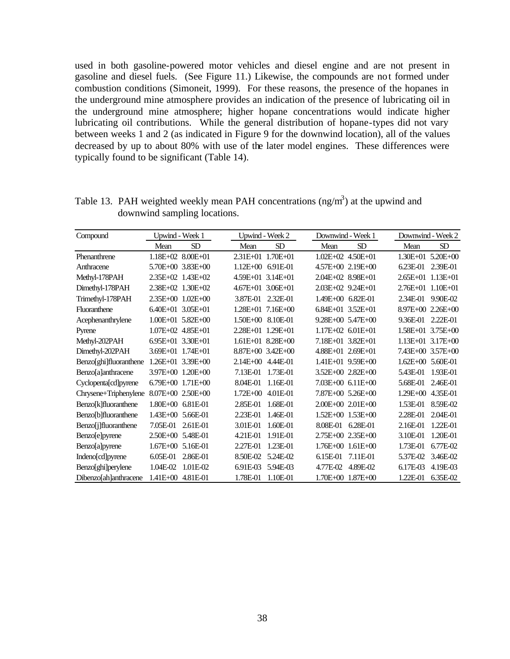used in both gasoline-powered motor vehicles and diesel engine and are not present in gasoline and diesel fuels. (See Figure 11.) Likewise, the compounds are not formed under combustion conditions (Simoneit, 1999). For these reasons, the presence of the hopanes in the underground mine atmosphere provides an indication of the presence of lubricating oil in the underground mine atmosphere; higher hopane concentrations would indicate higher lubricating oil contributions. While the general distribution of hopane-types did not vary between weeks 1 and 2 (as indicated in Figure 9 for the downwind location), all of the values decreased by up to about 80% with use of the later model engines. These differences were typically found to be significant (Table 14).

| Compound                          | Upwind - Week 1       |                       |                       | Upwind - Week 2     |          | Downwind - Week 1     |              | Downwind - Week 2     |  |
|-----------------------------------|-----------------------|-----------------------|-----------------------|---------------------|----------|-----------------------|--------------|-----------------------|--|
|                                   | Mean                  | <b>SD</b>             | Mean                  | <b>SD</b>           | Mean     | <b>SD</b>             | Mean         | SD <sub></sub>        |  |
| Phenanthrene                      |                       | 1.18E+02 8.00E+01     | $2.31E+01$ 1.70E+01   |                     |          | $1.02E+02$ 4.50E+01   | $1.30E + 01$ | $5.20E + 00$          |  |
| Anthracene                        |                       | $5.70E+00$ $3.83E+00$ | $1.12E + 00$          | 6.91E-01            |          | $4.57E+00$ $2.19E+00$ | 6.23E-01     | 2.39E-01              |  |
| Methyl-178PAH                     |                       | $2.35E+02$ 1.43E+02   | $4.59E+01$ $3.14E+01$ |                     |          | $2.04E+02$ 8.98E+01   |              | 2.65E+01 1.13E+01     |  |
| Dimethyl-178PAH                   | $2.38E+02$ 1.30E+02   |                       | $4.67E+01$ 3.06E+01   |                     |          | $2.03E+02$ 9.24E+01   |              | 2.76E+01 1.10E+01     |  |
| Trimethyl-178PAH                  |                       | 2.35E+00 1.02E+00     | 3.87E-01              | 2.32E-01            |          | 1.49E+00 6.82E-01     | 2.34E-01     | 9.90E-02              |  |
| Fluoranthene                      | $6.40E+01$ 3.05E+01   |                       |                       | $1.28E+01$ 7.16E+00 |          | $6.84E+01$ 3.52E+01   |              | $8.97E+00$ $2.26E+00$ |  |
| Acephenanthrylene                 |                       | $1.00E+01$ 5.82E+00   | $1.50E + 00$          | 8.10E-01            |          | $9.28E+00$ 5.47E+00   | 9.36E-01     | 2.22E-01              |  |
| Pyrene                            | $1.07E+02$ $4.85E+01$ |                       | $2.28E+01$ 1.29E+01   |                     |          | $1.17E+02$ 6.01E+01   |              | $1.58E+01$ $3.75E+00$ |  |
| Methyl-202PAH                     | $6.95E+01$ 3.30E+01   |                       |                       | $1.61E+01$ 8.28E+00 |          | $7.18E+01$ 3.82E+01   |              | $1.13E+01$ $3.17E+00$ |  |
| Dimethyl-202PAH                   | $3.69E+01$ $1.74E+01$ |                       |                       | 8.87E+00 3.42E+00   |          | $4.88E+01$ $2.69E+01$ |              | 7.43E+00 3.57E+00     |  |
| Benzo[ghi]fluoranthene            |                       | $1.26E+01$ 3.39E+00   | $2.14E + 00$          | 4.44E-01            |          | $1.41E+01$ 9.59E+00   |              | $1.62E+00$ 5.60E-01   |  |
| Benzo[a]anthracene                |                       | $3.97E+00$ $1.20E+00$ | 7.13E-01              | 1.73E-01            |          | $3.52E+00$ $2.82E+00$ | 5.43E-01     | 1.93E-01              |  |
| Cyclopenta[cd]pyrene              |                       | $6.79E+00$ $1.71E+00$ | 8.04E-01              | 1.16E-01            |          | $7.03E+00$ 6.11E+00   | 5.68E-01     | 2.46E-01              |  |
| Chrysene+Triphenylene             |                       | 8.07E+00 2.50E+00     | $1.72E + 00$          | 4.01E-01            |          | 7.87E+00 5.26E+00     | $1.29E + 00$ | 4.35E-01              |  |
| Benzo[k]fluoranthene              | 1.80E+00 6.81E-01     |                       | 2.85E-01              | 1.68E-01            |          | $2.00E+00$ $2.01E+00$ | 1.53E-01     | 8.59E-02              |  |
| Benzo <sup>[b]</sup> fluoranthene | $1.43E+00$ 5.66E-01   |                       | 2.23E-01              | 1.46E-01            |          | $1.52E+00$ $1.53E+00$ | 2.28E-01     | 2.04E-01              |  |
| Benzo[j]fluoranthene              | 7.05E-01              | 2.61E-01              | 3.01E-01              | 1.60E-01            | 8.08E-01 | 6.28E-01              | 2.16E-01     | 1.22E-01              |  |
| Benzo[e]pyrene                    | $2.50E+00$ 5.48E-01   |                       | 4.21E-01              | 1.91E-01            |          | $2.75E+00$ $2.35E+00$ | 3.10E-01     | 1.20E-01              |  |
| Benzo[a]pyrene                    | 1.67E+00 5.16E-01     |                       | 2.27E-01              | 1.23E-01            |          | $1.76E+00$ $1.61E+00$ | 1.73E-01     | 6.77E-02              |  |
| Indeno[cd]pyrene                  | 6.05E-01              | 2.86E-01              | 8.50E-02              | 5.24E-02            | 6.15E-01 | 7.11E-01              | 5.37E-02     | 3.46E-02              |  |
| Benzo[ghi]perylene                | 1.04E-02              | 1.01E-02              | 6.91E-03              | 5.94E-03            | 4.77E-02 | 4.89E-02              | 6.17E-03     | 4.19E-03              |  |
| Dibenzo[ah]anthracene             | 1.41E+00 4.81E-01     |                       | 1.78E-01              | 1.10E-01            |          | $1.70E+00$ $1.87E+00$ | 1.22E-01     | 6.35E-02              |  |

Table 13. PAH weighted weekly mean PAH concentrations  $(ng/m<sup>3</sup>)$  at the upwind and downwind sampling locations.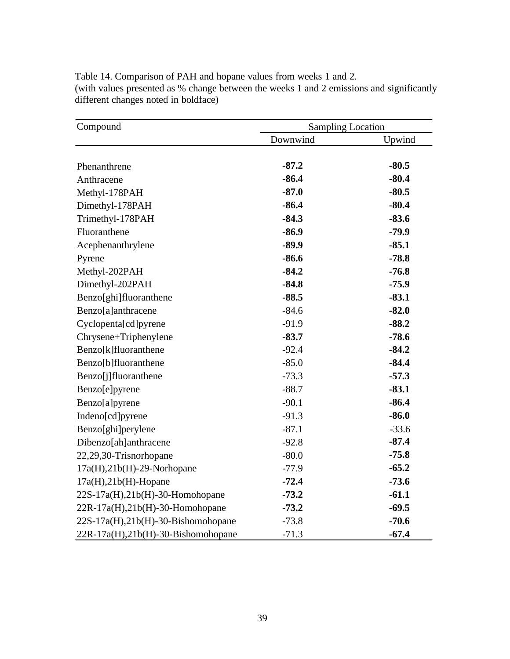| Compound                           | <b>Sampling Location</b> |         |  |  |
|------------------------------------|--------------------------|---------|--|--|
|                                    | Downwind                 | Upwind  |  |  |
|                                    |                          |         |  |  |
| Phenanthrene                       | $-87.2$                  | $-80.5$ |  |  |
| Anthracene                         | $-86.4$                  | $-80.4$ |  |  |
| Methyl-178PAH                      | $-87.0$                  | $-80.5$ |  |  |
| Dimethyl-178PAH                    | $-86.4$                  | $-80.4$ |  |  |
| Trimethyl-178PAH                   | $-84.3$                  | $-83.6$ |  |  |
| Fluoranthene                       | $-86.9$                  | $-79.9$ |  |  |
| Acephenanthrylene                  | $-89.9$                  | $-85.1$ |  |  |
| Pyrene                             | $-86.6$                  | $-78.8$ |  |  |
| Methyl-202PAH                      | $-84.2$                  | $-76.8$ |  |  |
| Dimethyl-202PAH                    | $-84.8$                  | $-75.9$ |  |  |
| Benzo[ghi]fluoranthene             | $-88.5$                  | $-83.1$ |  |  |
| Benzo[a]anthracene                 | $-84.6$                  | $-82.0$ |  |  |
| Cyclopenta[cd]pyrene               | $-91.9$                  | $-88.2$ |  |  |
| Chrysene+Triphenylene              | $-83.7$                  | $-78.6$ |  |  |
| Benzo[k]fluoranthene               | $-92.4$                  | $-84.2$ |  |  |
| Benzo[b]fluoranthene               | $-85.0$                  | $-84.4$ |  |  |
| Benzo[j]fluoranthene               | $-73.3$                  | $-57.3$ |  |  |
| Benzo[e]pyrene                     | $-88.7$                  | $-83.1$ |  |  |
| Benzo[a]pyrene                     | $-90.1$                  | $-86.4$ |  |  |
| Indeno[cd]pyrene                   | $-91.3$                  | $-86.0$ |  |  |
| Benzo[ghi]perylene                 | $-87.1$                  | $-33.6$ |  |  |
| Dibenzo[ah]anthracene              | $-92.8$                  | $-87.4$ |  |  |
| 22,29,30-Trisnorhopane             | $-80.0$                  | $-75.8$ |  |  |
| $17a(H), 21b(H)$ -29-Norhopane     | $-77.9$                  | $-65.2$ |  |  |
| $17a(H), 21b(H)$ -Hopane           | $-72.4$                  | $-73.6$ |  |  |
| 22S-17a(H),21b(H)-30-Homohopane    | $-73.2$                  | $-61.1$ |  |  |
| 22R-17a(H),21b(H)-30-Homohopane    | $-73.2$                  | $-69.5$ |  |  |
| 22S-17a(H),21b(H)-30-Bishomohopane | $-73.8$                  | $-70.6$ |  |  |
| 22R-17a(H),21b(H)-30-Bishomohopane | $-71.3$                  | $-67.4$ |  |  |

Table 14. Comparison of PAH and hopane values from weeks 1 and 2. (with values presented as % change between the weeks 1 and 2 emissions and significantly different changes noted in boldface)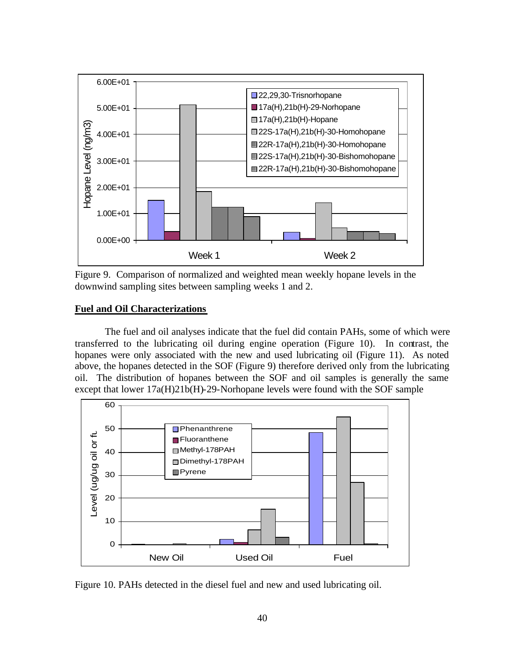

Figure 9. Comparison of normalized and weighted mean weekly hopane levels in the downwind sampling sites between sampling weeks 1 and 2.

## **Fuel and Oil Characterizations**

The fuel and oil analyses indicate that the fuel did contain PAHs, some of which were transferred to the lubricating oil during engine operation (Figure 10). In contrast, the hopanes were only associated with the new and used lubricating oil (Figure 11). As noted above, the hopanes detected in the SOF (Figure 9) therefore derived only from the lubricating oil. The distribution of hopanes between the SOF and oil samples is generally the same except that lower 17a(H)21b(H)-29-Norhopane levels were found with the SOF sample



Figure 10. PAHs detected in the diesel fuel and new and used lubricating oil.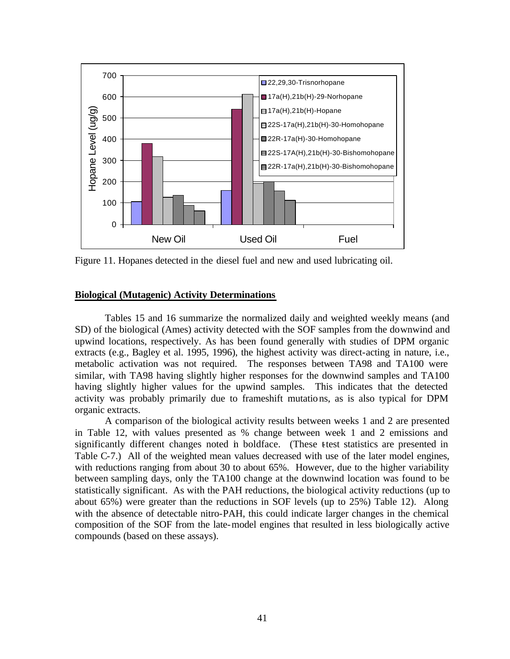

Figure 11. Hopanes detected in the diesel fuel and new and used lubricating oil.

## **Biological (Mutagenic) Activity Determinations**

Tables 15 and 16 summarize the normalized daily and weighted weekly means (and SD) of the biological (Ames) activity detected with the SOF samples from the downwind and upwind locations, respectively. As has been found generally with studies of DPM organic extracts (e.g., Bagley et al. 1995, 1996), the highest activity was direct-acting in nature, i.e., metabolic activation was not required. The responses between TA98 and TA100 were similar, with TA98 having slightly higher responses for the downwind samples and TA100 having slightly higher values for the upwind samples. This indicates that the detected activity was probably primarily due to frameshift mutations, as is also typical for DPM organic extracts.

A comparison of the biological activity results between weeks 1 and 2 are presented in Table 12, with values presented as % change between week 1 and 2 emissions and significantly different changes noted in boldface. (These ttest statistics are presented in Table C-7.) All of the weighted mean values decreased with use of the later model engines, with reductions ranging from about 30 to about 65%. However, due to the higher variability between sampling days, only the TA100 change at the downwind location was found to be statistically significant. As with the PAH reductions, the biological activity reductions (up to about 65%) were greater than the reductions in SOF levels (up to 25%) Table 12). Along with the absence of detectable nitro-PAH, this could indicate larger changes in the chemical composition of the SOF from the late-model engines that resulted in less biologically active compounds (based on these assays).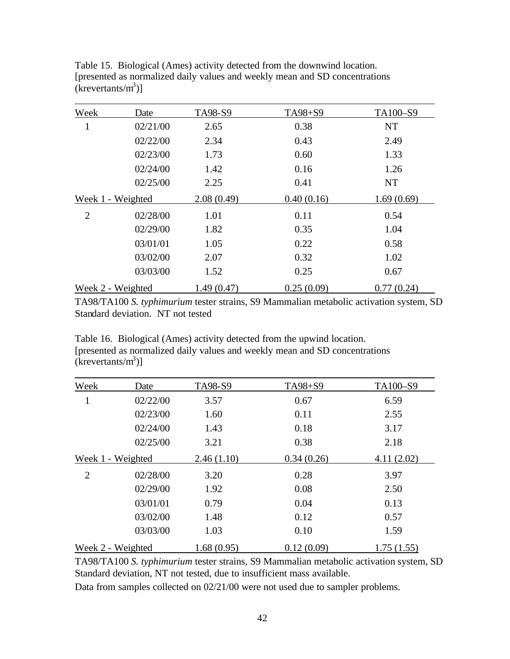| Week              | Date     | TA98-S9    | TA98+S9    | TA100-S9   |
|-------------------|----------|------------|------------|------------|
| $\mathbf{1}$      | 02/21/00 | 2.65       | 0.38       | <b>NT</b>  |
|                   | 02/22/00 | 2.34       | 0.43       | 2.49       |
|                   | 02/23/00 | 1.73       | 0.60       | 1.33       |
|                   | 02/24/00 | 1.42       | 0.16       | 1.26       |
|                   | 02/25/00 | 2.25       | 0.41       | <b>NT</b>  |
| Week 1 - Weighted |          | 2.08(0.49) | 0.40(0.16) | 1.69(0.69) |
| $\overline{2}$    | 02/28/00 | 1.01       | 0.11       | 0.54       |
|                   | 02/29/00 | 1.82       | 0.35       | 1.04       |
|                   | 03/01/01 | 1.05       | 0.22       | 0.58       |
|                   | 03/02/00 | 2.07       | 0.32       | 1.02       |
|                   | 03/03/00 | 1.52       | 0.25       | 0.67       |
| Week 2 - Weighted |          | 1.49(0.47) | 0.25(0.09) | 0.77(0.24) |

Table 15. Biological (Ames) activity detected from the downwind location. [presented as normalized daily values and weekly mean and SD concentrations  $(k$ revertants/m<sup>3</sup>)]

TA98/TA100 *S. typhimurium* tester strains, S9 Mammalian metabolic activation system, SD Standard deviation. NT not tested

Table 16. Biological (Ames) activity detected from the upwind location. [presented as normalized daily values and weekly mean and SD concentrations  $(k$ revertants/m<sup>3</sup>)]

| Week              | Date     | TA98-S9                  | TA98+S9    | TA100-S9   |
|-------------------|----------|--------------------------|------------|------------|
| 1                 | 02/22/00 | 3.57                     | 0.67       | 6.59       |
|                   | 02/23/00 | 1.60                     | 0.11       | 2.55       |
|                   | 02/24/00 | 1.43                     | 0.18       | 3.17       |
|                   | 02/25/00 | 3.21                     | 0.38       | 2.18       |
| Week 1 - Weighted |          | 0.34(0.26)<br>2.46(1.10) |            | 4.11(2.02) |
| $\overline{2}$    | 02/28/00 | 3.20                     | 0.28       | 3.97       |
|                   | 02/29/00 | 1.92                     | 0.08       | 2.50       |
|                   | 03/01/01 | 0.79                     | 0.04       | 0.13       |
|                   | 03/02/00 | 1.48                     | 0.12       | 0.57       |
|                   | 03/03/00 | 1.03                     | 0.10       | 1.59       |
| Week 2 - Weighted |          | 1.68(0.95)               | 0.12(0.09) | 1.75(1.55) |

TA98/TA100 *S. typhimurium* tester strains, S9 Mammalian metabolic activation system, SD Standard deviation, NT not tested, due to insufficient mass available.

Data from samples collected on 02/21/00 were not used due to sampler problems.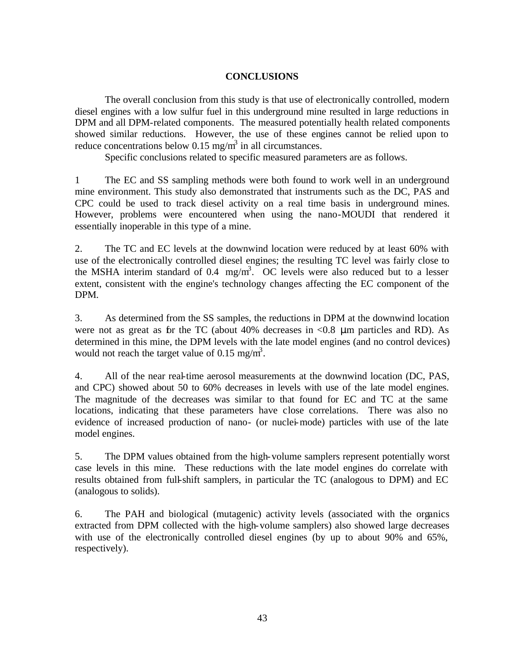## **CONCLUSIONS**

The overall conclusion from this study is that use of electronically controlled, modern diesel engines with a low sulfur fuel in this underground mine resulted in large reductions in DPM and all DPM-related components. The measured potentially health related components showed similar reductions. However, the use of these engines cannot be relied upon to reduce concentrations below 0.15 mg/ $m<sup>3</sup>$  in all circumstances.

Specific conclusions related to specific measured parameters are as follows.

1 The EC and SS sampling methods were both found to work well in an underground mine environment. This study also demonstrated that instruments such as the DC, PAS and CPC could be used to track diesel activity on a real time basis in underground mines. However, problems were encountered when using the nano-MOUDI that rendered it essentially inoperable in this type of a mine.

2. The TC and EC levels at the downwind location were reduced by at least 60% with use of the electronically controlled diesel engines; the resulting TC level was fairly close to the MSHA interim standard of 0.4 mg/m<sup>3</sup>. OC levels were also reduced but to a lesser extent, consistent with the engine's technology changes affecting the EC component of the DPM.

3. As determined from the SS samples, the reductions in DPM at the downwind location were not as great as for the TC (about  $40\%$  decreases in  $\langle 0.8 \rangle$  µm particles and RD). As determined in this mine, the DPM levels with the late model engines (and no control devices) would not reach the target value of 0.15 mg/m<sup>3</sup>.

4. All of the near real-time aerosol measurements at the downwind location (DC, PAS, and CPC) showed about 50 to 60% decreases in levels with use of the late model engines. The magnitude of the decreases was similar to that found for EC and TC at the same locations, indicating that these parameters have close correlations. There was also no evidence of increased production of nano- (or nuclei-mode) particles with use of the late model engines.

5. The DPM values obtained from the high-volume samplers represent potentially worst case levels in this mine. These reductions with the late model engines do correlate with results obtained from full-shift samplers, in particular the TC (analogous to DPM) and EC (analogous to solids).

6. The PAH and biological (mutagenic) activity levels (associated with the organics extracted from DPM collected with the high-volume samplers) also showed large decreases with use of the electronically controlled diesel engines (by up to about 90% and 65%, respectively).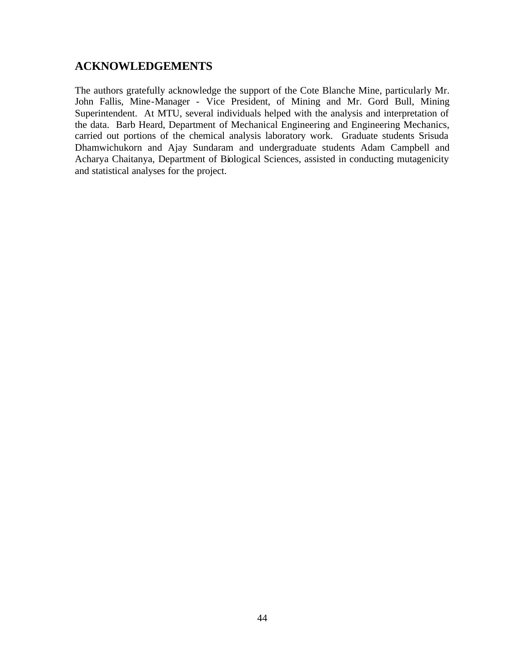# **ACKNOWLEDGEMENTS**

The authors gratefully acknowledge the support of the Cote Blanche Mine, particularly Mr. John Fallis, Mine-Manager - Vice President, of Mining and Mr. Gord Bull, Mining Superintendent. At MTU, several individuals helped with the analysis and interpretation of the data. Barb Heard, Department of Mechanical Engineering and Engineering Mechanics, carried out portions of the chemical analysis laboratory work. Graduate students Srisuda Dhamwichukorn and Ajay Sundaram and undergraduate students Adam Campbell and Acharya Chaitanya, Department of Biological Sciences, assisted in conducting mutagenicity and statistical analyses for the project.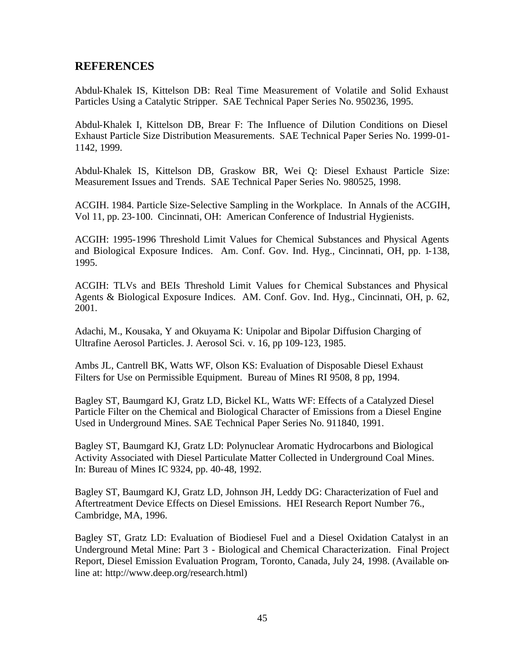# **REFERENCES**

Abdul-Khalek IS, Kittelson DB: Real Time Measurement of Volatile and Solid Exhaust Particles Using a Catalytic Stripper. SAE Technical Paper Series No. 950236, 1995.

Abdul-Khalek I, Kittelson DB, Brear F: The Influence of Dilution Conditions on Diesel Exhaust Particle Size Distribution Measurements. SAE Technical Paper Series No. 1999-01- 1142, 1999.

Abdul-Khalek IS, Kittelson DB, Graskow BR, Wei Q: Diesel Exhaust Particle Size: Measurement Issues and Trends. SAE Technical Paper Series No. 980525, 1998.

ACGIH. 1984. Particle Size-Selective Sampling in the Workplace. In Annals of the ACGIH, Vol 11, pp. 23-100. Cincinnati, OH: American Conference of Industrial Hygienists.

ACGIH: 1995-1996 Threshold Limit Values for Chemical Substances and Physical Agents and Biological Exposure Indices. Am. Conf. Gov. Ind. Hyg., Cincinnati, OH, pp. 1-138, 1995.

ACGIH: TLVs and BEIs Threshold Limit Values for Chemical Substances and Physical Agents & Biological Exposure Indices. AM. Conf. Gov. Ind. Hyg., Cincinnati, OH, p. 62, 2001.

Adachi, M., Kousaka, Y and Okuyama K: Unipolar and Bipolar Diffusion Charging of Ultrafine Aerosol Particles. J. Aerosol Sci. v. 16, pp 109-123, 1985.

Ambs JL, Cantrell BK, Watts WF, Olson KS: Evaluation of Disposable Diesel Exhaust Filters for Use on Permissible Equipment. Bureau of Mines RI 9508, 8 pp, 1994.

Bagley ST, Baumgard KJ, Gratz LD, Bickel KL, Watts WF: Effects of a Catalyzed Diesel Particle Filter on the Chemical and Biological Character of Emissions from a Diesel Engine Used in Underground Mines. SAE Technical Paper Series No. 911840, 1991.

Bagley ST, Baumgard KJ, Gratz LD: Polynuclear Aromatic Hydrocarbons and Biological Activity Associated with Diesel Particulate Matter Collected in Underground Coal Mines. In: Bureau of Mines IC 9324, pp. 40-48, 1992.

Bagley ST, Baumgard KJ, Gratz LD, Johnson JH, Leddy DG: Characterization of Fuel and Aftertreatment Device Effects on Diesel Emissions. HEI Research Report Number 76., Cambridge, MA, 1996.

Bagley ST, Gratz LD: Evaluation of Biodiesel Fuel and a Diesel Oxidation Catalyst in an Underground Metal Mine: Part 3 - Biological and Chemical Characterization. Final Project Report, Diesel Emission Evaluation Program, Toronto, Canada, July 24, 1998. (Available online at: http://www.deep.org/research.html)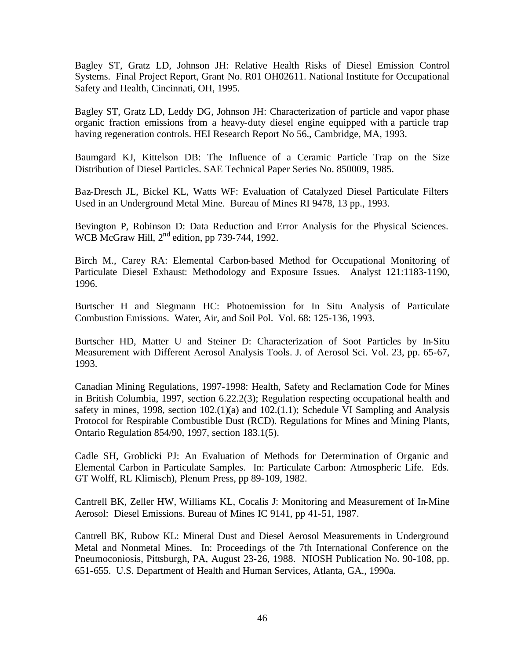Bagley ST, Gratz LD, Johnson JH: Relative Health Risks of Diesel Emission Control Systems. Final Project Report, Grant No. R01 OH02611. National Institute for Occupational Safety and Health, Cincinnati, OH, 1995.

Bagley ST, Gratz LD, Leddy DG, Johnson JH: Characterization of particle and vapor phase organic fraction emissions from a heavy-duty diesel engine equipped with a particle trap having regeneration controls. HEI Research Report No 56., Cambridge, MA, 1993.

Baumgard KJ, Kittelson DB: The Influence of a Ceramic Particle Trap on the Size Distribution of Diesel Particles. SAE Technical Paper Series No. 850009, 1985.

Baz-Dresch JL, Bickel KL, Watts WF: Evaluation of Catalyzed Diesel Particulate Filters Used in an Underground Metal Mine. Bureau of Mines RI 9478, 13 pp., 1993.

Bevington P, Robinson D: Data Reduction and Error Analysis for the Physical Sciences. WCB McGraw Hill, 2<sup>nd</sup> edition, pp 739-744, 1992.

Birch M., Carey RA: Elemental Carbon-based Method for Occupational Monitoring of Particulate Diesel Exhaust: Methodology and Exposure Issues. Analyst 121:1183-1190, 1996.

Burtscher H and Siegmann HC: Photoemission for In Situ Analysis of Particulate Combustion Emissions. Water, Air, and Soil Pol. Vol. 68: 125-136, 1993.

Burtscher HD, Matter U and Steiner D: Characterization of Soot Particles by In-Situ Measurement with Different Aerosol Analysis Tools. J. of Aerosol Sci. Vol. 23, pp. 65-67, 1993.

Canadian Mining Regulations, 1997-1998: Health, Safety and Reclamation Code for Mines in British Columbia, 1997, section 6.22.2(3); Regulation respecting occupational health and safety in mines, 1998, section  $102(1)(a)$  and  $102(1.1)$ ; Schedule VI Sampling and Analysis Protocol for Respirable Combustible Dust (RCD). Regulations for Mines and Mining Plants, Ontario Regulation 854/90, 1997, section 183.1(5).

Cadle SH, Groblicki PJ: An Evaluation of Methods for Determination of Organic and Elemental Carbon in Particulate Samples. In: Particulate Carbon: Atmospheric Life. Eds. GT Wolff, RL Klimisch), Plenum Press, pp 89-109, 1982.

Cantrell BK, Zeller HW, Williams KL, Cocalis J: Monitoring and Measurement of In-Mine Aerosol: Diesel Emissions. Bureau of Mines IC 9141, pp 41-51, 1987.

Cantrell BK, Rubow KL: Mineral Dust and Diesel Aerosol Measurements in Underground Metal and Nonmetal Mines. In: Proceedings of the 7th International Conference on the Pneumoconiosis, Pittsburgh, PA, August 23-26, 1988. NIOSH Publication No. 90-108, pp. 651-655. U.S. Department of Health and Human Services, Atlanta, GA., 1990a.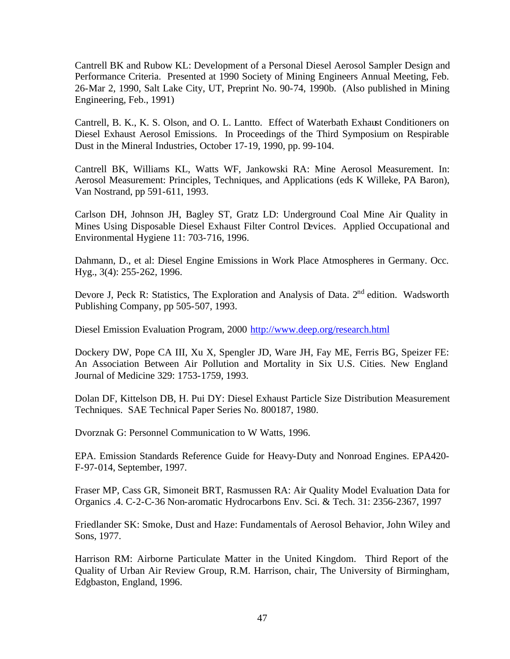Cantrell BK and Rubow KL: Development of a Personal Diesel Aerosol Sampler Design and Performance Criteria. Presented at 1990 Society of Mining Engineers Annual Meeting, Feb. 26-Mar 2, 1990, Salt Lake City, UT, Preprint No. 90-74, 1990b. (Also published in Mining Engineering, Feb., 1991)

Cantrell, B. K., K. S. Olson, and O. L. Lantto. Effect of Waterbath Exhaust Conditioners on Diesel Exhaust Aerosol Emissions. In Proceedings of the Third Symposium on Respirable Dust in the Mineral Industries, October 17-19, 1990, pp. 99-104.

Cantrell BK, Williams KL, Watts WF, Jankowski RA: Mine Aerosol Measurement. In: Aerosol Measurement: Principles, Techniques, and Applications (eds K Willeke, PA Baron), Van Nostrand, pp 591-611, 1993.

Carlson DH, Johnson JH, Bagley ST, Gratz LD: Underground Coal Mine Air Quality in Mines Using Disposable Diesel Exhaust Filter Control Devices. Applied Occupational and Environmental Hygiene 11: 703-716, 1996.

Dahmann, D., et al: Diesel Engine Emissions in Work Place Atmospheres in Germany. Occ. Hyg., 3(4): 255-262, 1996.

Devore J, Peck R: Statistics, The Exploration and Analysis of Data. 2<sup>nd</sup> edition. Wadsworth Publishing Company, pp 505-507, 1993.

Diesel Emission Evaluation Program, 2000 http://www.deep.org/research.html

Dockery DW, Pope CA III, Xu X, Spengler JD, Ware JH, Fay ME, Ferris BG, Speizer FE: An Association Between Air Pollution and Mortality in Six U.S. Cities. New England Journal of Medicine 329: 1753-1759, 1993.

Dolan DF, Kittelson DB, H. Pui DY: Diesel Exhaust Particle Size Distribution Measurement Techniques. SAE Technical Paper Series No. 800187, 1980.

Dvorznak G: Personnel Communication to W Watts, 1996.

EPA. Emission Standards Reference Guide for Heavy-Duty and Nonroad Engines. EPA420- F-97-014, September, 1997.

Fraser MP, Cass GR, Simoneit BRT, Rasmussen RA: Air Quality Model Evaluation Data for Organics .4. C-2-C-36 Non-aromatic Hydrocarbons Env. Sci. & Tech. 31: 2356-2367, 1997

Friedlander SK: Smoke, Dust and Haze: Fundamentals of Aerosol Behavior, John Wiley and Sons, 1977.

Harrison RM: Airborne Particulate Matter in the United Kingdom. Third Report of the Quality of Urban Air Review Group, R.M. Harrison, chair, The University of Birmingham, Edgbaston, England, 1996.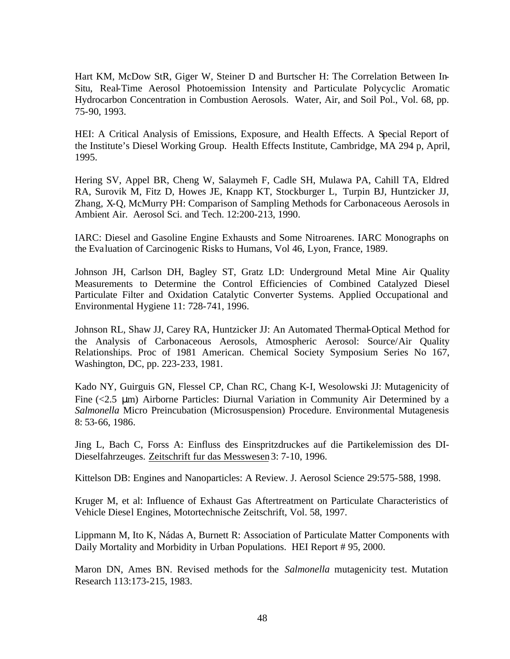Hart KM, McDow StR, Giger W, Steiner D and Burtscher H: The Correlation Between In-Situ, Real-Time Aerosol Photoemission Intensity and Particulate Polycyclic Aromatic Hydrocarbon Concentration in Combustion Aerosols. Water, Air, and Soil Pol., Vol. 68, pp. 75-90, 1993.

HEI: A Critical Analysis of Emissions, Exposure, and Health Effects. A Special Report of the Institute's Diesel Working Group. Health Effects Institute, Cambridge, MA 294 p, April, 1995.

Hering SV, Appel BR, Cheng W, Salaymeh F, Cadle SH, Mulawa PA, Cahill TA, Eldred RA, Surovik M, Fitz D, Howes JE, Knapp KT, Stockburger L, Turpin BJ, Huntzicker JJ, Zhang, X-Q, McMurry PH: Comparison of Sampling Methods for Carbonaceous Aerosols in Ambient Air. Aerosol Sci. and Tech. 12:200-213, 1990.

IARC: Diesel and Gasoline Engine Exhausts and Some Nitroarenes. IARC Monographs on the Evaluation of Carcinogenic Risks to Humans, Vol 46, Lyon, France, 1989.

Johnson JH, Carlson DH, Bagley ST, Gratz LD: Underground Metal Mine Air Quality Measurements to Determine the Control Efficiencies of Combined Catalyzed Diesel Particulate Filter and Oxidation Catalytic Converter Systems. Applied Occupational and Environmental Hygiene 11: 728-741, 1996.

Johnson RL, Shaw JJ, Carey RA, Huntzicker JJ: An Automated Thermal-Optical Method for the Analysis of Carbonaceous Aerosols, Atmospheric Aerosol: Source/Air Quality Relationships. Proc of 1981 American. Chemical Society Symposium Series No 167, Washington, DC, pp. 223-233, 1981.

Kado NY, Guirguis GN, Flessel CP, Chan RC, Chang K-I, Wesolowski JJ: Mutagenicity of Fine (<2.5 μm) Airborne Particles: Diurnal Variation in Community Air Determined by a *Salmonella* Micro Preincubation (Microsuspension) Procedure. Environmental Mutagenesis 8: 53-66, 1986.

Jing L, Bach C, Forss A: Einfluss des Einspritzdruckes auf die Partikelemission des DI-Dieselfahrzeuges. Zeitschrift fur das Messwesen 3: 7-10, 1996.

Kittelson DB: Engines and Nanoparticles: A Review. J. Aerosol Science 29:575-588, 1998.

Kruger M, et al: Influence of Exhaust Gas Aftertreatment on Particulate Characteristics of Vehicle Diesel Engines, Motortechnische Zeitschrift, Vol. 58, 1997.

Lippmann M, Ito K, Nádas A, Burnett R: Association of Particulate Matter Components with Daily Mortality and Morbidity in Urban Populations. HEI Report # 95, 2000.

Maron DN, Ames BN. Revised methods for the *Salmonella* mutagenicity test. Mutation Research 113:173-215, 1983.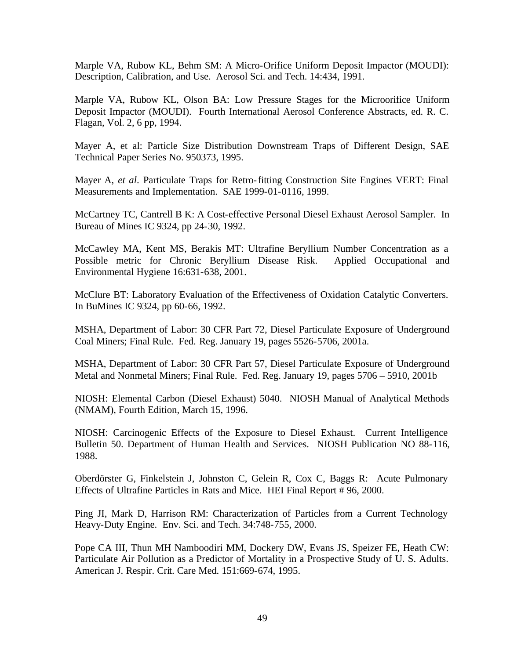Marple VA, Rubow KL, Behm SM: A Micro-Orifice Uniform Deposit Impactor (MOUDI): Description, Calibration, and Use. Aerosol Sci. and Tech. 14:434, 1991.

Marple VA, Rubow KL, Olson BA: Low Pressure Stages for the Microorifice Uniform Deposit Impactor (MOUDI). Fourth International Aerosol Conference Abstracts, ed. R. C. Flagan, Vol. 2, 6 pp, 1994.

Mayer A, et al: Particle Size Distribution Downstream Traps of Different Design, SAE Technical Paper Series No. 950373, 1995.

Mayer A, *et al*. Particulate Traps for Retro-fitting Construction Site Engines VERT: Final Measurements and Implementation. SAE 1999-01-0116, 1999.

McCartney TC, Cantrell B K: A Cost-effective Personal Diesel Exhaust Aerosol Sampler. In Bureau of Mines IC 9324, pp 24-30, 1992.

McCawley MA, Kent MS, Berakis MT: Ultrafine Beryllium Number Concentration as a Possible metric for Chronic Beryllium Disease Risk. Applied Occupational and Environmental Hygiene 16:631-638, 2001.

McClure BT: Laboratory Evaluation of the Effectiveness of Oxidation Catalytic Converters. In BuMines IC 9324, pp 60-66, 1992.

MSHA, Department of Labor: 30 CFR Part 72, Diesel Particulate Exposure of Underground Coal Miners; Final Rule. Fed. Reg. January 19, pages 5526-5706, 2001a.

MSHA, Department of Labor: 30 CFR Part 57, Diesel Particulate Exposure of Underground Metal and Nonmetal Miners; Final Rule. Fed. Reg. January 19, pages 5706 – 5910, 2001b

NIOSH: Elemental Carbon (Diesel Exhaust) 5040. NIOSH Manual of Analytical Methods (NMAM), Fourth Edition, March 15, 1996.

NIOSH: Carcinogenic Effects of the Exposure to Diesel Exhaust. Current Intelligence Bulletin 50. Department of Human Health and Services. NIOSH Publication NO 88-116, 1988.

Oberdörster G, Finkelstein J, Johnston C, Gelein R, Cox C, Baggs R: Acute Pulmonary Effects of Ultrafine Particles in Rats and Mice. HEI Final Report # 96, 2000.

Ping JI, Mark D, Harrison RM: Characterization of Particles from a Current Technology Heavy-Duty Engine. Env. Sci. and Tech. 34:748-755, 2000.

Pope CA III, Thun MH Namboodiri MM, Dockery DW, Evans JS, Speizer FE, Heath CW: Particulate Air Pollution as a Predictor of Mortality in a Prospective Study of U. S. Adults. American J. Respir. Crit. Care Med. 151:669-674, 1995.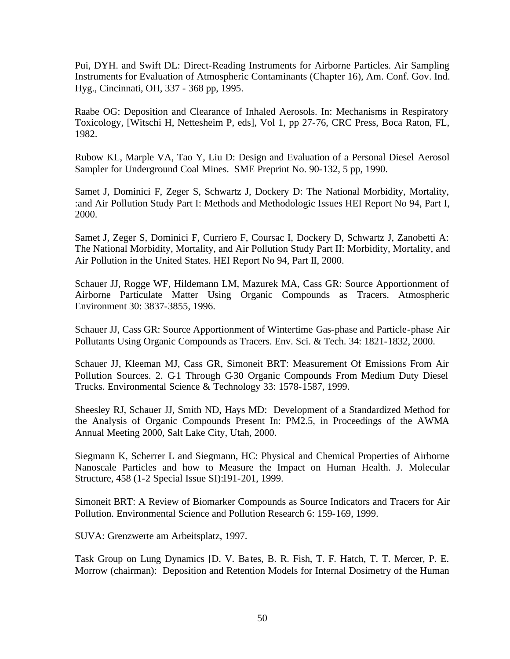Pui, DYH. and Swift DL: Direct-Reading Instruments for Airborne Particles. Air Sampling Instruments for Evaluation of Atmospheric Contaminants (Chapter 16), Am. Conf. Gov. Ind. Hyg., Cincinnati, OH, 337 - 368 pp, 1995.

Raabe OG: Deposition and Clearance of Inhaled Aerosols. In: Mechanisms in Respiratory Toxicology, [Witschi H, Nettesheim P, eds], Vol 1, pp 27-76, CRC Press, Boca Raton, FL, 1982.

Rubow KL, Marple VA, Tao Y, Liu D: Design and Evaluation of a Personal Diesel Aerosol Sampler for Underground Coal Mines. SME Preprint No. 90-132, 5 pp, 1990.

Samet J, Dominici F, Zeger S, Schwartz J, Dockery D: The National Morbidity, Mortality, :and Air Pollution Study Part I: Methods and Methodologic Issues HEI Report No 94, Part I, 2000.

Samet J, Zeger S, Dominici F, Curriero F, Coursac I, Dockery D, Schwartz J, Zanobetti A: The National Morbidity, Mortality, and Air Pollution Study Part II: Morbidity, Mortality, and Air Pollution in the United States. HEI Report No 94, Part II, 2000.

Schauer JJ, Rogge WF, Hildemann LM, Mazurek MA, Cass GR: Source Apportionment of Airborne Particulate Matter Using Organic Compounds as Tracers. Atmospheric Environment 30: 3837-3855, 1996.

Schauer JJ, Cass GR: Source Apportionment of Wintertime Gas-phase and Particle-phase Air Pollutants Using Organic Compounds as Tracers. Env. Sci. & Tech. 34: 1821-1832, 2000.

Schauer JJ, Kleeman MJ, Cass GR, Simoneit BRT: Measurement Of Emissions From Air Pollution Sources. 2. C-1 Through C-30 Organic Compounds From Medium Duty Diesel Trucks. Environmental Science & Technology 33: 1578-1587, 1999.

Sheesley RJ, Schauer JJ, Smith ND, Hays MD: Development of a Standardized Method for the Analysis of Organic Compounds Present In: PM2.5, in Proceedings of the AWMA Annual Meeting 2000, Salt Lake City, Utah, 2000.

Siegmann K, Scherrer L and Siegmann, HC: Physical and Chemical Properties of Airborne Nanoscale Particles and how to Measure the Impact on Human Health. J. Molecular Structure, 458 (1-2 Special Issue SI):191-201, 1999.

Simoneit BRT: A Review of Biomarker Compounds as Source Indicators and Tracers for Air Pollution. Environmental Science and Pollution Research 6: 159-169, 1999.

SUVA: Grenzwerte am Arbeitsplatz, 1997.

Task Group on Lung Dynamics [D. V. Ba tes, B. R. Fish, T. F. Hatch, T. T. Mercer, P. E. Morrow (chairman): Deposition and Retention Models for Internal Dosimetry of the Human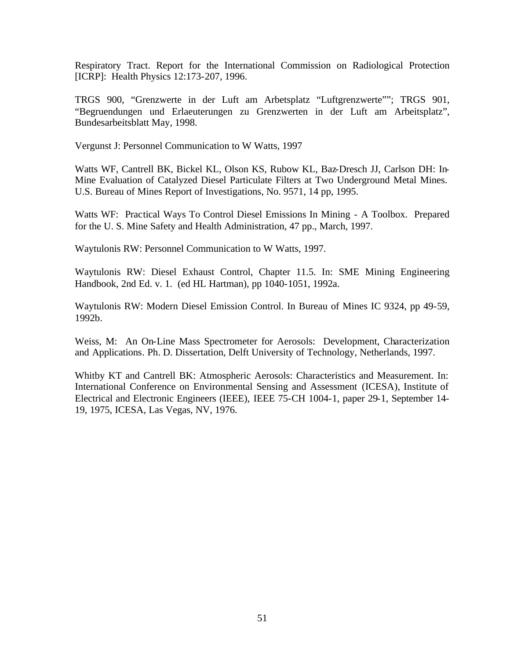Respiratory Tract. Report for the International Commission on Radiological Protection [ICRP]: Health Physics 12:173-207, 1996.

TRGS 900, "Grenzwerte in der Luft am Arbetsplatz "Luftgrenzwerte""; TRGS 901, "Begruendungen und Erlaeuterungen zu Grenzwerten in der Luft am Arbeitsplatz", Bundesarbeitsblatt May, 1998.

Vergunst J: Personnel Communication to W Watts, 1997

Watts WF, Cantrell BK, Bickel KL, Olson KS, Rubow KL, Baz-Dresch JJ, Carlson DH: In-Mine Evaluation of Catalyzed Diesel Particulate Filters at Two Underground Metal Mines. U.S. Bureau of Mines Report of Investigations, No. 9571, 14 pp, 1995.

Watts WF: Practical Ways To Control Diesel Emissions In Mining - A Toolbox. Prepared for the U. S. Mine Safety and Health Administration, 47 pp., March, 1997.

Waytulonis RW: Personnel Communication to W Watts, 1997.

Waytulonis RW: Diesel Exhaust Control, Chapter 11.5. In: SME Mining Engineering Handbook, 2nd Ed. v. 1. (ed HL Hartman), pp 1040-1051, 1992a.

Waytulonis RW: Modern Diesel Emission Control. In Bureau of Mines IC 9324, pp 49-59, 1992b.

Weiss, M: An On-Line Mass Spectrometer for Aerosols: Development, Characterization and Applications*.* Ph. D. Dissertation, Delft University of Technology, Netherlands, 1997.

Whitby KT and Cantrell BK: Atmospheric Aerosols: Characteristics and Measurement. In: International Conference on Environmental Sensing and Assessment (ICESA), Institute of Electrical and Electronic Engineers (IEEE), IEEE 75-CH 1004-1, paper 29-1, September 14- 19, 1975, ICESA, Las Vegas, NV, 1976.